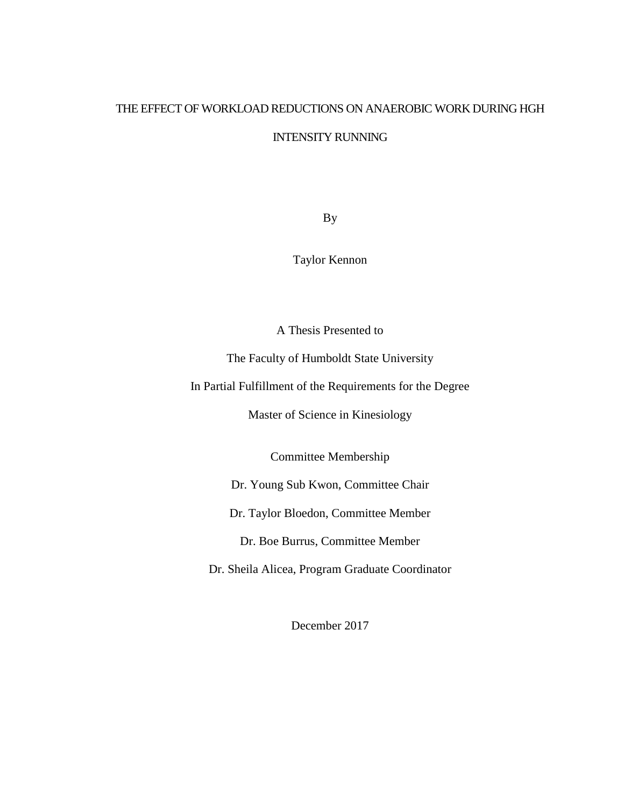# THE EFFECT OF WORKLOAD REDUCTIONS ON ANAEROBIC WORK DURING HGH

INTENSITY RUNNING

By

Taylor Kennon

A Thesis Presented to

The Faculty of Humboldt State University

In Partial Fulfillment of the Requirements for the Degree

Master of Science in Kinesiology

Committee Membership

Dr. Young Sub Kwon, Committee Chair

Dr. Taylor Bloedon, Committee Member

Dr. Boe Burrus, Committee Member

Dr. Sheila Alicea, Program Graduate Coordinator

December 2017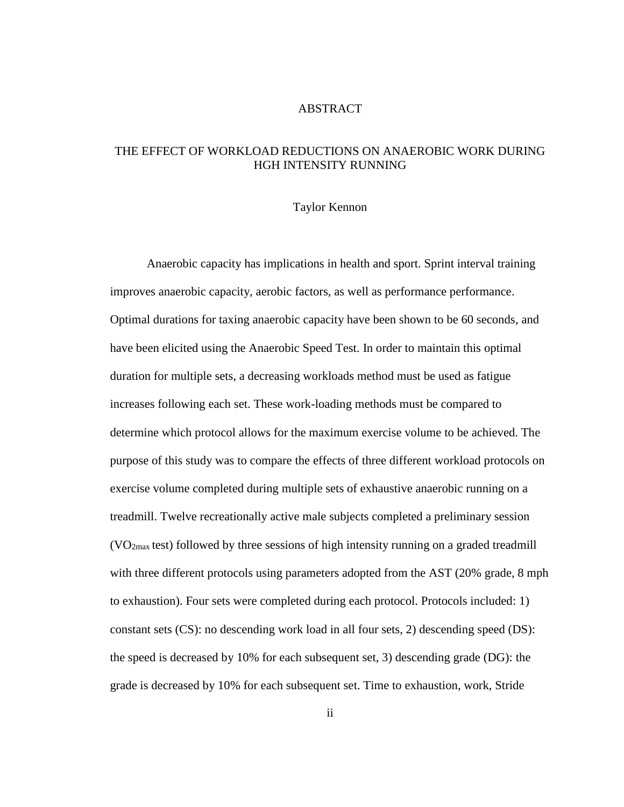# ABSTRACT

# THE EFFECT OF WORKLOAD REDUCTIONS ON ANAEROBIC WORK DURING HGH INTENSITY RUNNING

#### Taylor Kennon

Anaerobic capacity has implications in health and sport. Sprint interval training improves anaerobic capacity, aerobic factors, as well as performance performance. Optimal durations for taxing anaerobic capacity have been shown to be 60 seconds, and have been elicited using the Anaerobic Speed Test. In order to maintain this optimal duration for multiple sets, a decreasing workloads method must be used as fatigue increases following each set. These work-loading methods must be compared to determine which protocol allows for the maximum exercise volume to be achieved. The purpose of this study was to compare the effects of three different workload protocols on exercise volume completed during multiple sets of exhaustive anaerobic running on a treadmill. Twelve recreationally active male subjects completed a preliminary session  $(VO<sub>2max</sub>$  test) followed by three sessions of high intensity running on a graded treadmill with three different protocols using parameters adopted from the AST (20% grade, 8 mph to exhaustion). Four sets were completed during each protocol. Protocols included: 1) constant sets (CS): no descending work load in all four sets, 2) descending speed (DS): the speed is decreased by 10% for each subsequent set, 3) descending grade (DG): the grade is decreased by 10% for each subsequent set. Time to exhaustion, work, Stride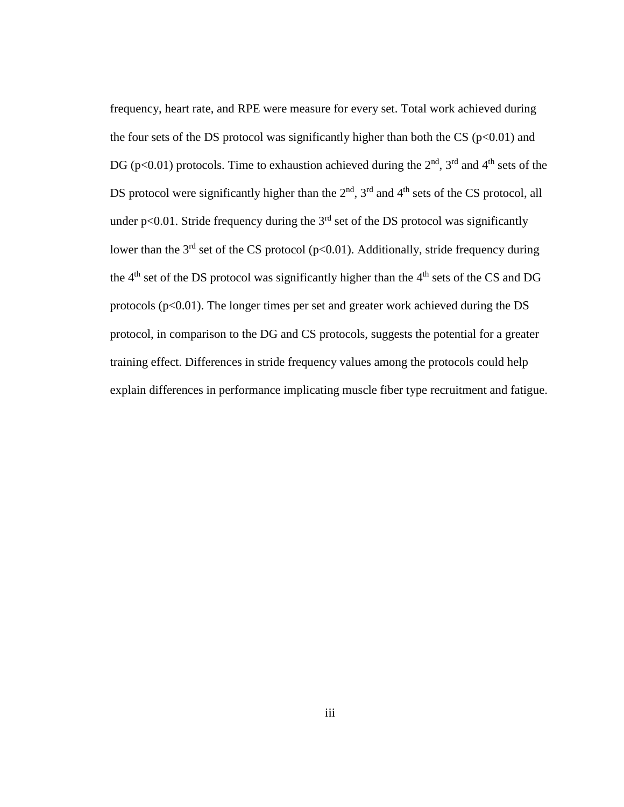frequency, heart rate, and RPE were measure for every set. Total work achieved during the four sets of the DS protocol was significantly higher than both the CS ( $p<0.01$ ) and DG (p<0.01) protocols. Time to exhaustion achieved during the  $2<sup>nd</sup>$ ,  $3<sup>rd</sup>$  and  $4<sup>th</sup>$  sets of the DS protocol were significantly higher than the  $2<sup>nd</sup>$ ,  $3<sup>rd</sup>$  and  $4<sup>th</sup>$  sets of the CS protocol, all under p<0.01. Stride frequency during the  $3<sup>rd</sup>$  set of the DS protocol was significantly lower than the  $3<sup>rd</sup>$  set of the CS protocol (p<0.01). Additionally, stride frequency during the  $4<sup>th</sup>$  set of the DS protocol was significantly higher than the  $4<sup>th</sup>$  sets of the CS and DG protocols ( $p<0.01$ ). The longer times per set and greater work achieved during the DS protocol, in comparison to the DG and CS protocols, suggests the potential for a greater training effect. Differences in stride frequency values among the protocols could help explain differences in performance implicating muscle fiber type recruitment and fatigue.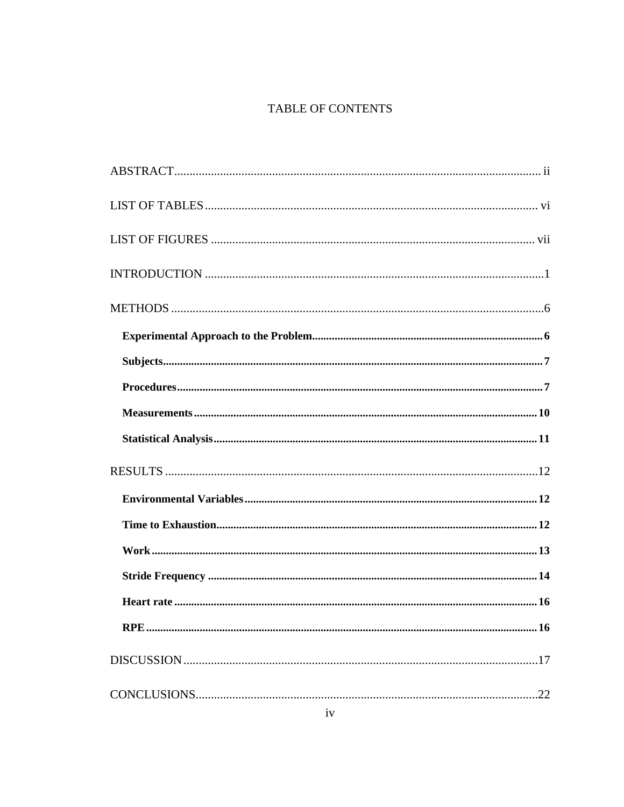# TABLE OF CONTENTS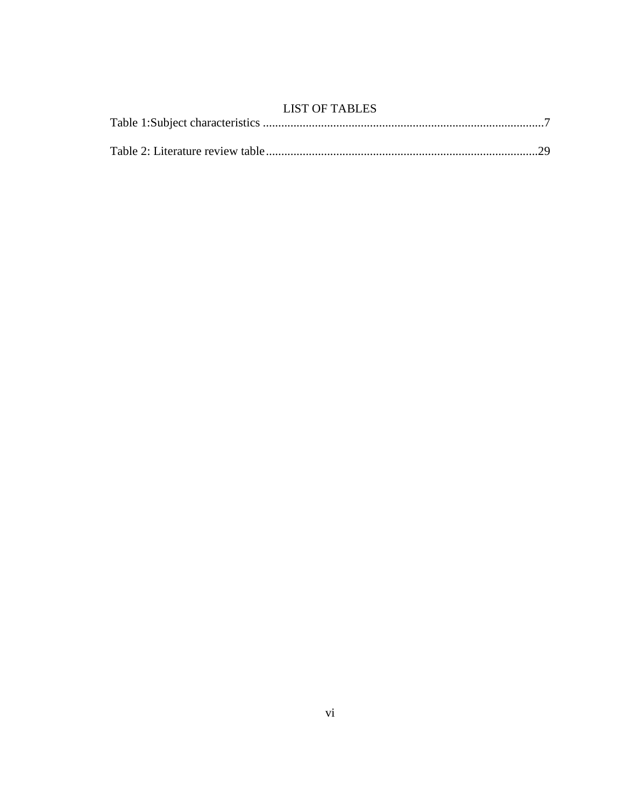| <b>LIST OF TABLES</b> |  |
|-----------------------|--|
|                       |  |
|                       |  |
|                       |  |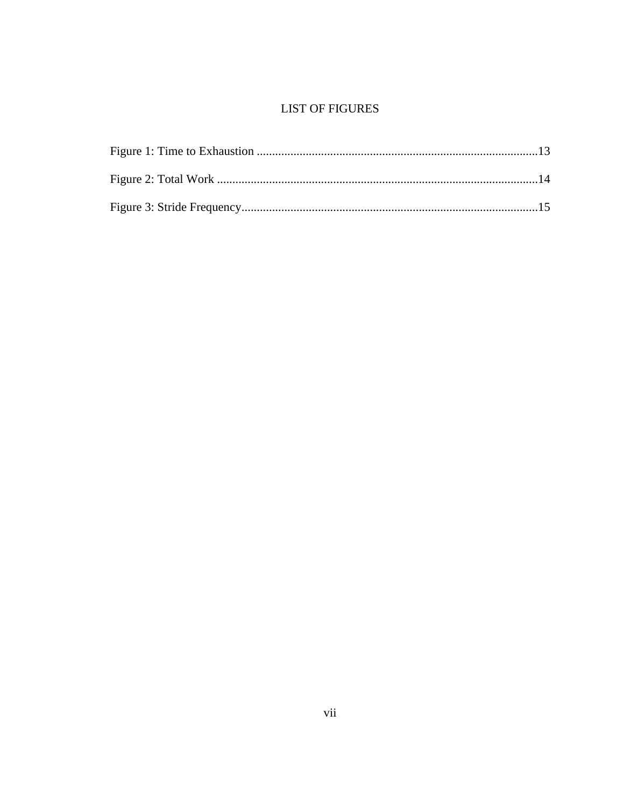# **LIST OF FIGURES**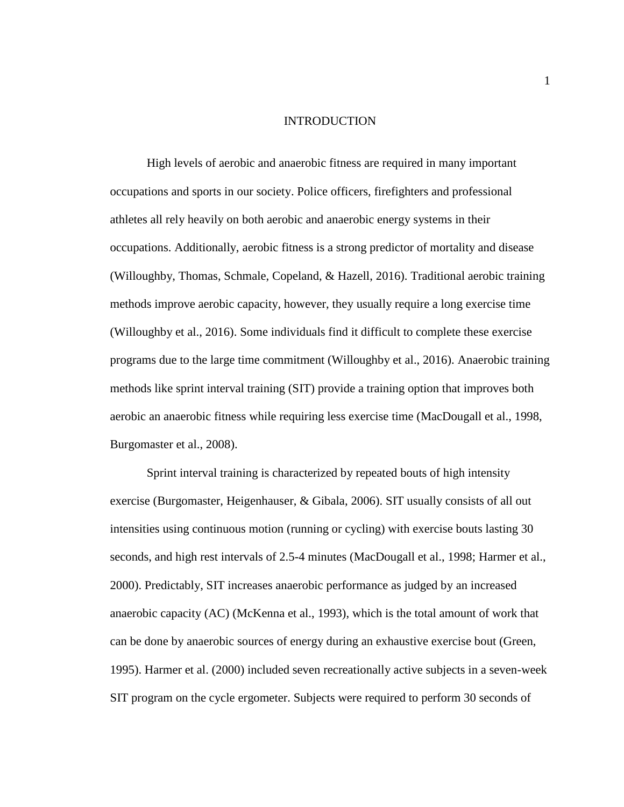#### INTRODUCTION

High levels of aerobic and anaerobic fitness are required in many important occupations and sports in our society. Police officers, firefighters and professional athletes all rely heavily on both aerobic and anaerobic energy systems in their occupations. Additionally, aerobic fitness is a strong predictor of mortality and disease (Willoughby, Thomas, Schmale, Copeland, & Hazell, 2016). Traditional aerobic training methods improve aerobic capacity, however, they usually require a long exercise time (Willoughby et al., 2016). Some individuals find it difficult to complete these exercise programs due to the large time commitment (Willoughby et al., 2016). Anaerobic training methods like sprint interval training (SIT) provide a training option that improves both aerobic an anaerobic fitness while requiring less exercise time (MacDougall et al., 1998, Burgomaster et al., 2008).

Sprint interval training is characterized by repeated bouts of high intensity exercise (Burgomaster, Heigenhauser, & Gibala, 2006). SIT usually consists of all out intensities using continuous motion (running or cycling) with exercise bouts lasting 30 seconds, and high rest intervals of 2.5-4 minutes (MacDougall et al., 1998; Harmer et al., 2000). Predictably, SIT increases anaerobic performance as judged by an increased anaerobic capacity (AC) (McKenna et al., 1993), which is the total amount of work that can be done by anaerobic sources of energy during an exhaustive exercise bout (Green, 1995). Harmer et al. (2000) included seven recreationally active subjects in a seven-week SIT program on the cycle ergometer. Subjects were required to perform 30 seconds of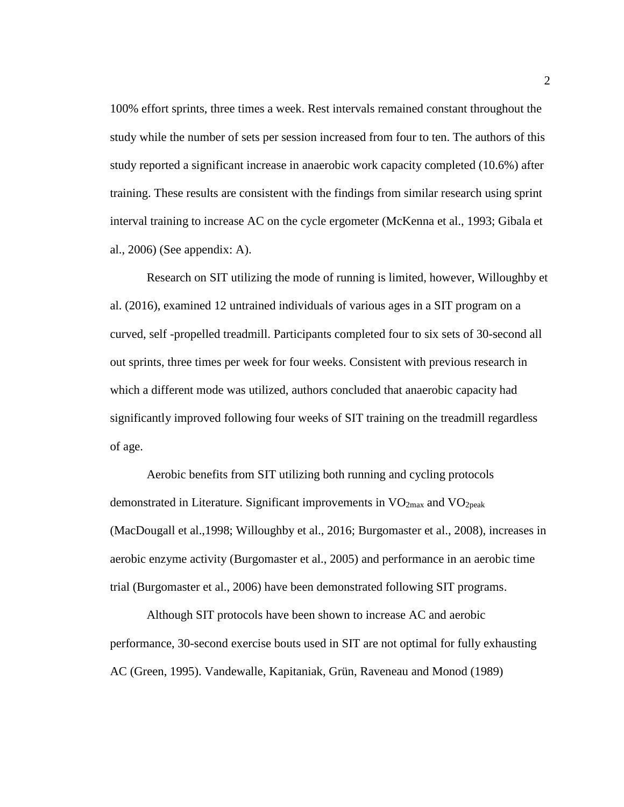100% effort sprints, three times a week. Rest intervals remained constant throughout the study while the number of sets per session increased from four to ten. The authors of this study reported a significant increase in anaerobic work capacity completed (10.6%) after training. These results are consistent with the findings from similar research using sprint interval training to increase AC on the cycle ergometer (McKenna et al., 1993; Gibala et al., 2006) (See appendix: A).

Research on SIT utilizing the mode of running is limited, however, Willoughby et al. (2016), examined 12 untrained individuals of various ages in a SIT program on a curved, self -propelled treadmill. Participants completed four to six sets of 30-second all out sprints, three times per week for four weeks. Consistent with previous research in which a different mode was utilized, authors concluded that anaerobic capacity had significantly improved following four weeks of SIT training on the treadmill regardless of age.

Aerobic benefits from SIT utilizing both running and cycling protocols demonstrated in Literature. Significant improvements in  $VO<sub>2max</sub>$  and  $VO<sub>2peak</sub>$ (MacDougall et al.,1998; Willoughby et al., 2016; Burgomaster et al., 2008), increases in aerobic enzyme activity (Burgomaster et al., 2005) and performance in an aerobic time trial (Burgomaster et al., 2006) have been demonstrated following SIT programs.

Although SIT protocols have been shown to increase AC and aerobic performance, 30-second exercise bouts used in SIT are not optimal for fully exhausting AC (Green, 1995). Vandewalle, Kapitaniak, Grün, Raveneau and Monod (1989)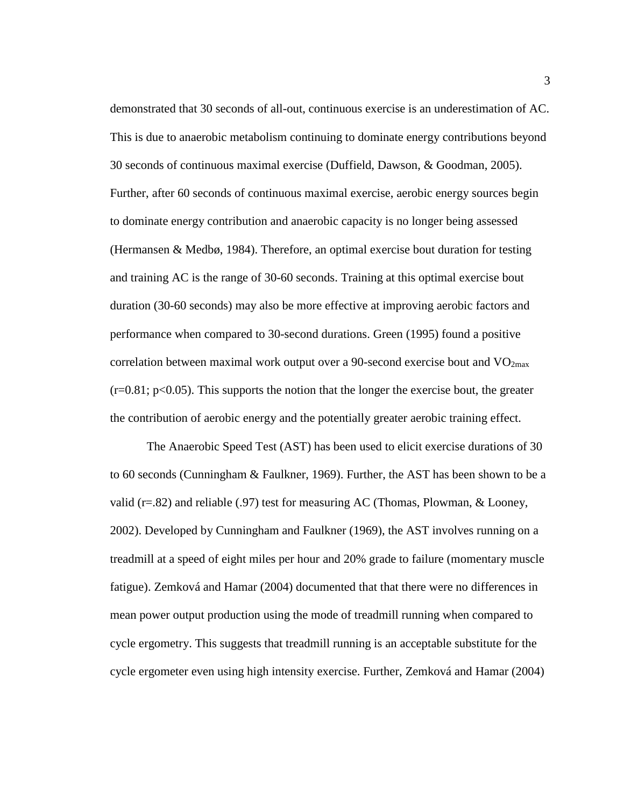demonstrated that 30 seconds of all-out, continuous exercise is an underestimation of AC. This is due to anaerobic metabolism continuing to dominate energy contributions beyond 30 seconds of continuous maximal exercise (Duffield, Dawson, & Goodman, 2005). Further, after 60 seconds of continuous maximal exercise, aerobic energy sources begin to dominate energy contribution and anaerobic capacity is no longer being assessed (Hermansen & Medbø, 1984). Therefore, an optimal exercise bout duration for testing and training AC is the range of 30-60 seconds. Training at this optimal exercise bout duration (30-60 seconds) may also be more effective at improving aerobic factors and performance when compared to 30-second durations. Green (1995) found a positive correlation between maximal work output over a 90-second exercise bout and  $VO<sub>2max</sub>$  $(r=0.81; p<0.05)$ . This supports the notion that the longer the exercise bout, the greater the contribution of aerobic energy and the potentially greater aerobic training effect.

The Anaerobic Speed Test (AST) has been used to elicit exercise durations of 30 to 60 seconds (Cunningham & Faulkner, 1969). Further, the AST has been shown to be a valid ( $r=.82$ ) and reliable (.97) test for measuring AC (Thomas, Plowman, & Looney, 2002). Developed by Cunningham and Faulkner (1969), the AST involves running on a treadmill at a speed of eight miles per hour and 20% grade to failure (momentary muscle fatigue). Zemková and Hamar (2004) documented that that there were no differences in mean power output production using the mode of treadmill running when compared to cycle ergometry. This suggests that treadmill running is an acceptable substitute for the cycle ergometer even using high intensity exercise. Further, Zemková and Hamar (2004)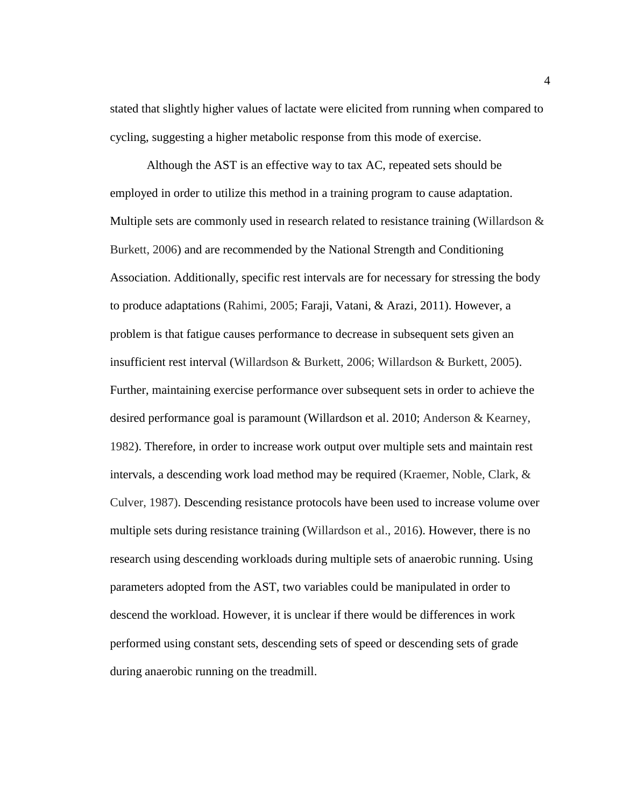stated that slightly higher values of lactate were elicited from running when compared to cycling, suggesting a higher metabolic response from this mode of exercise.

Although the AST is an effective way to tax AC, repeated sets should be employed in order to utilize this method in a training program to cause adaptation. Multiple sets are commonly used in research related to resistance training (Willardson & Burkett, 2006) and are recommended by the National Strength and Conditioning Association. Additionally, specific rest intervals are for necessary for stressing the body to produce adaptations (Rahimi, 2005; Faraji, Vatani, & Arazi, 2011). However, a problem is that fatigue causes performance to decrease in subsequent sets given an insufficient rest interval (Willardson & Burkett, 2006; Willardson & Burkett, 2005). Further, maintaining exercise performance over subsequent sets in order to achieve the desired performance goal is paramount (Willardson et al. 2010; Anderson & Kearney, 1982). Therefore, in order to increase work output over multiple sets and maintain rest intervals, a descending work load method may be required (Kraemer, Noble, Clark, & Culver, 1987). Descending resistance protocols have been used to increase volume over multiple sets during resistance training (Willardson et al., 2016). However, there is no research using descending workloads during multiple sets of anaerobic running. Using parameters adopted from the AST, two variables could be manipulated in order to descend the workload. However, it is unclear if there would be differences in work performed using constant sets, descending sets of speed or descending sets of grade during anaerobic running on the treadmill.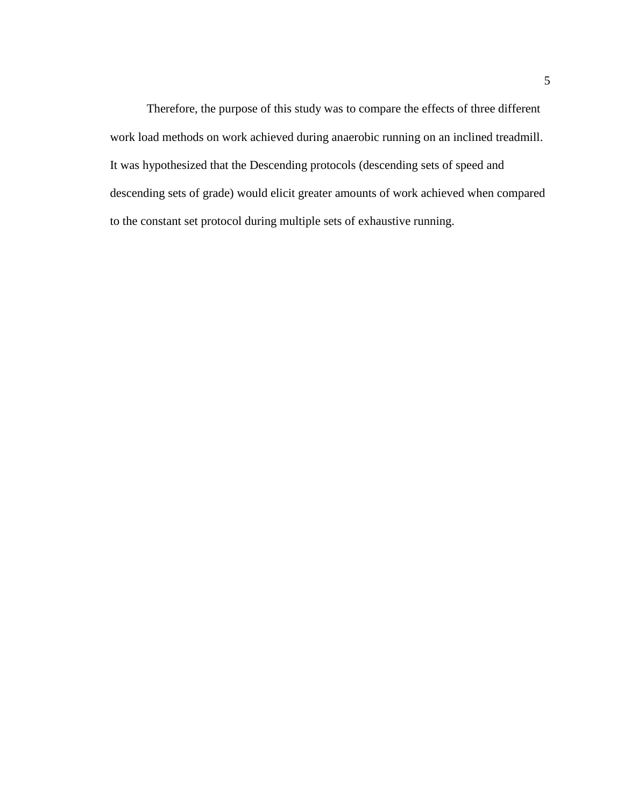Therefore, the purpose of this study was to compare the effects of three different work load methods on work achieved during anaerobic running on an inclined treadmill. It was hypothesized that the Descending protocols (descending sets of speed and descending sets of grade) would elicit greater amounts of work achieved when compared to the constant set protocol during multiple sets of exhaustive running.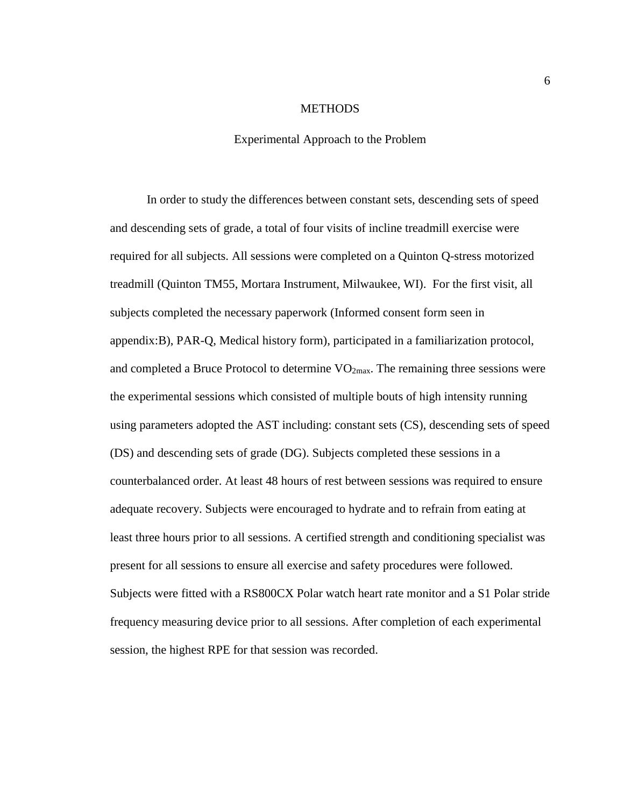#### **METHODS**

## Experimental Approach to the Problem

In order to study the differences between constant sets, descending sets of speed and descending sets of grade, a total of four visits of incline treadmill exercise were required for all subjects. All sessions were completed on a Quinton Q-stress motorized treadmill (Quinton TM55, Mortara Instrument, Milwaukee, WI). For the first visit, all subjects completed the necessary paperwork (Informed consent form seen in appendix:B), PAR-Q, Medical history form), participated in a familiarization protocol, and completed a Bruce Protocol to determine  $VO_{2max}$ . The remaining three sessions were the experimental sessions which consisted of multiple bouts of high intensity running using parameters adopted the AST including: constant sets (CS), descending sets of speed (DS) and descending sets of grade (DG). Subjects completed these sessions in a counterbalanced order. At least 48 hours of rest between sessions was required to ensure adequate recovery. Subjects were encouraged to hydrate and to refrain from eating at least three hours prior to all sessions. A certified strength and conditioning specialist was present for all sessions to ensure all exercise and safety procedures were followed. Subjects were fitted with a RS800CX Polar watch heart rate monitor and a S1 Polar stride frequency measuring device prior to all sessions. After completion of each experimental session, the highest RPE for that session was recorded.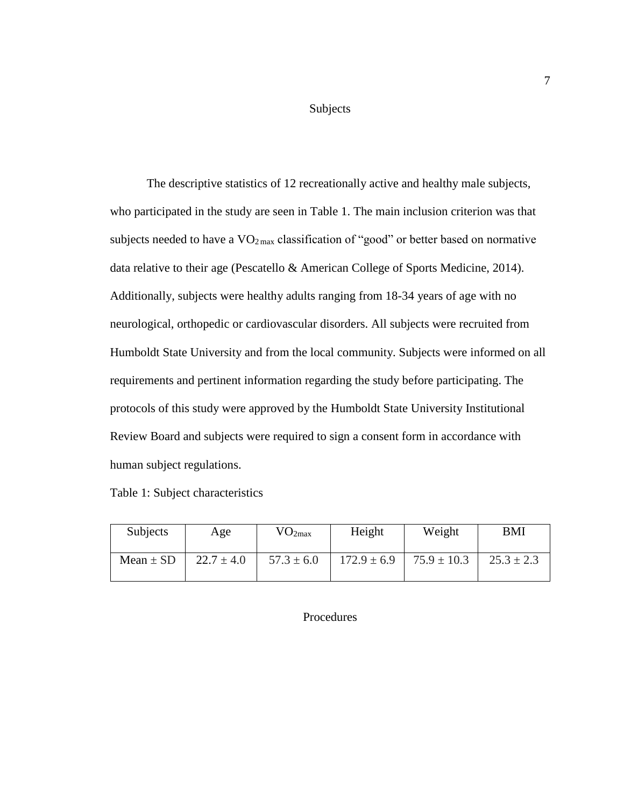Subjects

The descriptive statistics of 12 recreationally active and healthy male subjects, who participated in the study are seen in Table 1. The main inclusion criterion was that subjects needed to have a  $VO<sub>2 max</sub>$  classification of "good" or better based on normative data relative to their age (Pescatello & American College of Sports Medicine, 2014). Additionally, subjects were healthy adults ranging from 18-34 years of age with no neurological, orthopedic or cardiovascular disorders. All subjects were recruited from Humboldt State University and from the local community. Subjects were informed on all requirements and pertinent information regarding the study before participating. The protocols of this study were approved by the Humboldt State University Institutional Review Board and subjects were required to sign a consent form in accordance with human subject regulations.

Table 1: Subject characteristics

| Subjects      | Age            | VO <sub>2max</sub> | Height          | Weight          | BMI            |
|---------------|----------------|--------------------|-----------------|-----------------|----------------|
| Mean $\pm$ SD | $22.7 \pm 4.0$ | $57.3 \pm 6.0$     | $172.9 \pm 6.9$ | $75.9 \pm 10.3$ | $25.3 \pm 2.3$ |

# Procedures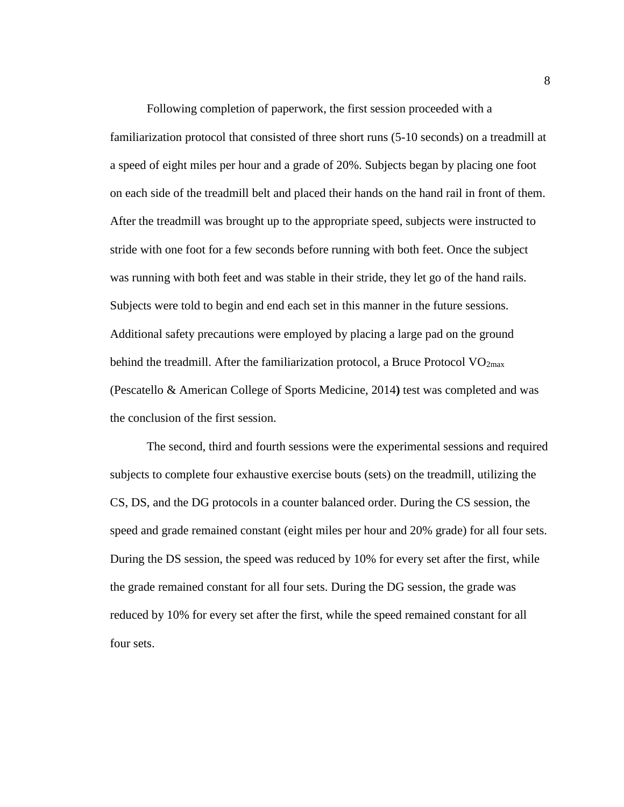Following completion of paperwork, the first session proceeded with a familiarization protocol that consisted of three short runs (5-10 seconds) on a treadmill at a speed of eight miles per hour and a grade of 20%. Subjects began by placing one foot on each side of the treadmill belt and placed their hands on the hand rail in front of them. After the treadmill was brought up to the appropriate speed, subjects were instructed to stride with one foot for a few seconds before running with both feet. Once the subject was running with both feet and was stable in their stride, they let go of the hand rails. Subjects were told to begin and end each set in this manner in the future sessions. Additional safety precautions were employed by placing a large pad on the ground behind the treadmill. After the familiarization protocol, a Bruce Protocol  $VO<sub>2max</sub>$ (Pescatello & American College of Sports Medicine, 2014**)** test was completed and was the conclusion of the first session.

The second, third and fourth sessions were the experimental sessions and required subjects to complete four exhaustive exercise bouts (sets) on the treadmill, utilizing the CS, DS, and the DG protocols in a counter balanced order. During the CS session, the speed and grade remained constant (eight miles per hour and 20% grade) for all four sets. During the DS session, the speed was reduced by 10% for every set after the first, while the grade remained constant for all four sets. During the DG session, the grade was reduced by 10% for every set after the first, while the speed remained constant for all four sets.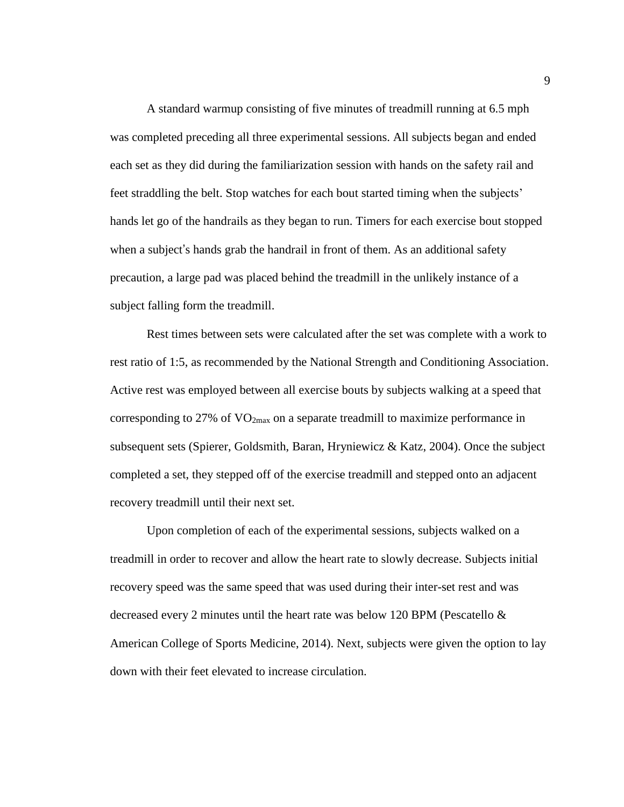A standard warmup consisting of five minutes of treadmill running at 6.5 mph was completed preceding all three experimental sessions. All subjects began and ended each set as they did during the familiarization session with hands on the safety rail and feet straddling the belt. Stop watches for each bout started timing when the subjects' hands let go of the handrails as they began to run. Timers for each exercise bout stopped when a subject's hands grab the handrail in front of them. As an additional safety precaution, a large pad was placed behind the treadmill in the unlikely instance of a subject falling form the treadmill.

Rest times between sets were calculated after the set was complete with a work to rest ratio of 1:5, as recommended by the National Strength and Conditioning Association. Active rest was employed between all exercise bouts by subjects walking at a speed that corresponding to 27% of  $VO<sub>2max</sub>$  on a separate treadmill to maximize performance in subsequent sets (Spierer, Goldsmith, Baran, Hryniewicz & Katz, 2004). Once the subject completed a set, they stepped off of the exercise treadmill and stepped onto an adjacent recovery treadmill until their next set.

Upon completion of each of the experimental sessions, subjects walked on a treadmill in order to recover and allow the heart rate to slowly decrease. Subjects initial recovery speed was the same speed that was used during their inter-set rest and was decreased every 2 minutes until the heart rate was below 120 BPM (Pescatello  $\&$ American College of Sports Medicine, 2014). Next, subjects were given the option to lay down with their feet elevated to increase circulation.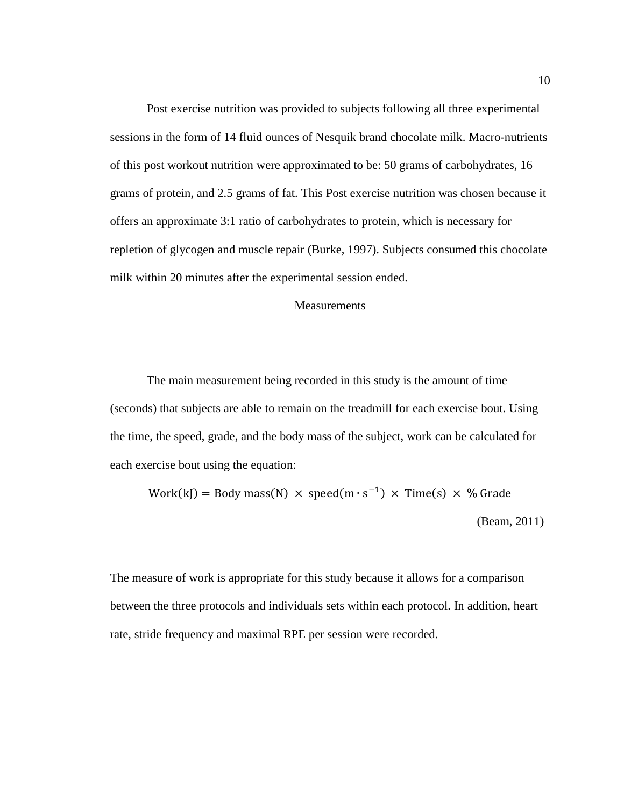Post exercise nutrition was provided to subjects following all three experimental sessions in the form of 14 fluid ounces of Nesquik brand chocolate milk. Macro-nutrients of this post workout nutrition were approximated to be: 50 grams of carbohydrates, 16 grams of protein, and 2.5 grams of fat. This Post exercise nutrition was chosen because it offers an approximate 3:1 ratio of carbohydrates to protein, which is necessary for repletion of glycogen and muscle repair (Burke, 1997). Subjects consumed this chocolate milk within 20 minutes after the experimental session ended.

# **Measurements**

The main measurement being recorded in this study is the amount of time (seconds) that subjects are able to remain on the treadmill for each exercise bout. Using the time, the speed, grade, and the body mass of the subject, work can be calculated for each exercise bout using the equation:

Work(kJ) = Body mass(N) × speed(m ∙ s −1 ) × Time(s) × % Grade (Beam, 2011)

The measure of work is appropriate for this study because it allows for a comparison between the three protocols and individuals sets within each protocol. In addition, heart rate, stride frequency and maximal RPE per session were recorded.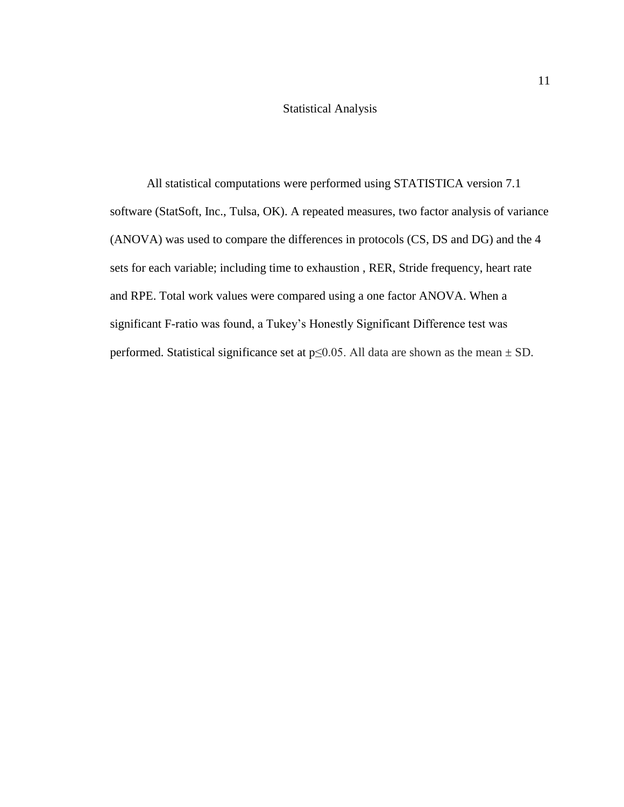# Statistical Analysis

All statistical computations were performed using STATISTICA version 7.1 software (StatSoft, Inc., Tulsa, OK). A repeated measures, two factor analysis of variance (ANOVA) was used to compare the differences in protocols (CS, DS and DG) and the 4 sets for each variable; including time to exhaustion , RER, Stride frequency, heart rate and RPE. Total work values were compared using a one factor ANOVA. When a significant F-ratio was found, a Tukey's Honestly Significant Difference test was performed. Statistical significance set at  $p \le 0.05$ . All data are shown as the mean  $\pm$  SD.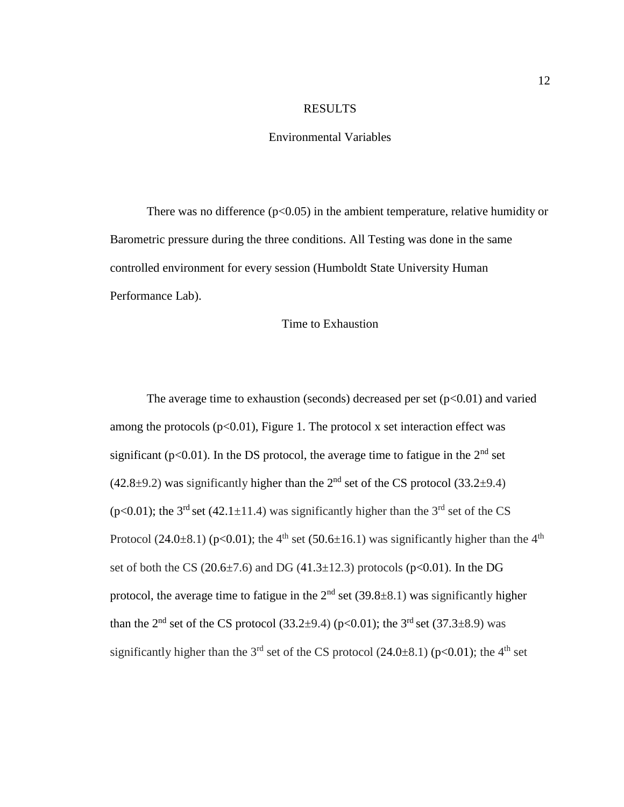# RESULTS

## Environmental Variables

There was no difference  $(p<0.05)$  in the ambient temperature, relative humidity or Barometric pressure during the three conditions. All Testing was done in the same controlled environment for every session (Humboldt State University Human Performance Lab).

### Time to Exhaustion

The average time to exhaustion (seconds) decreased per set  $(p<0.01)$  and varied among the protocols  $(p<0.01)$ , Figure 1. The protocol x set interaction effect was significant ( $p<0.01$ ). In the DS protocol, the average time to fatigue in the  $2<sup>nd</sup>$  set  $(42.8\pm9.2)$  was significantly higher than the 2<sup>nd</sup> set of the CS protocol (33.2 $\pm$ 9.4) (p<0.01); the 3<sup>rd</sup> set (42.1 $\pm$ 11.4) was significantly higher than the 3<sup>rd</sup> set of the CS Protocol (24.0 $\pm$ 8.1) (p<0.01); the 4<sup>th</sup> set (50.6 $\pm$ 16.1) was significantly higher than the 4<sup>th</sup> set of both the CS (20.6 $\pm$ 7.6) and DG (41.3 $\pm$ 12.3) protocols (p<0.01). In the DG protocol, the average time to fatigue in the  $2<sup>nd</sup>$  set (39.8 $\pm$ 8.1) was significantly higher than the 2<sup>nd</sup> set of the CS protocol (33.2 $\pm$ 9.4) (p<0.01); the 3<sup>rd</sup> set (37.3 $\pm$ 8.9) was significantly higher than the 3<sup>rd</sup> set of the CS protocol (24.0 $\pm$ 8.1) (p<0.01); the 4<sup>th</sup> set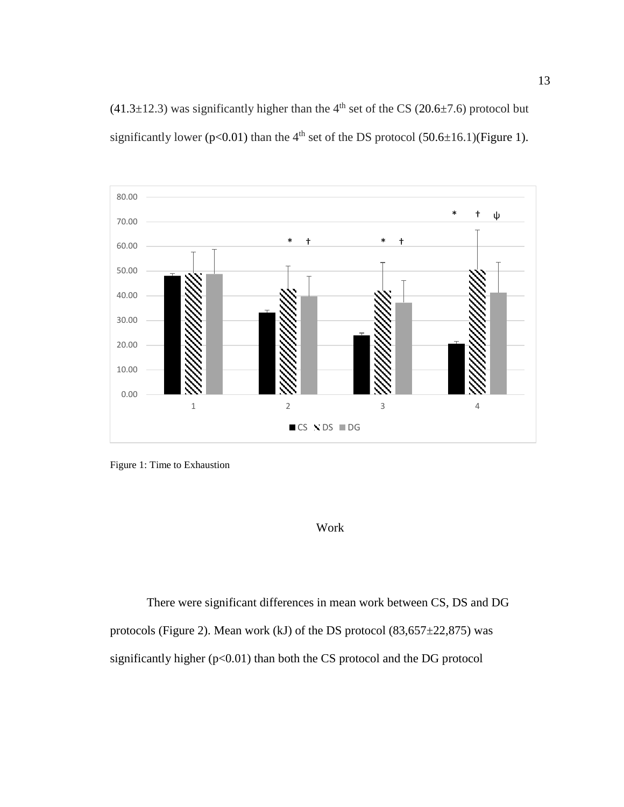(41.3 $\pm$ 12.3) was significantly higher than the 4<sup>th</sup> set of the CS (20.6 $\pm$ 7.6) protocol but significantly lower (p<0.01) than the 4<sup>th</sup> set of the DS protocol (50.6 $\pm$ 16.1)(Figure 1).



Figure 1: Time to Exhaustion

# Work

There were significant differences in mean work between CS, DS and DG protocols (Figure 2). Mean work (kJ) of the DS protocol  $(83,657 \pm 22,875)$  was significantly higher  $(p<0.01)$  than both the CS protocol and the DG protocol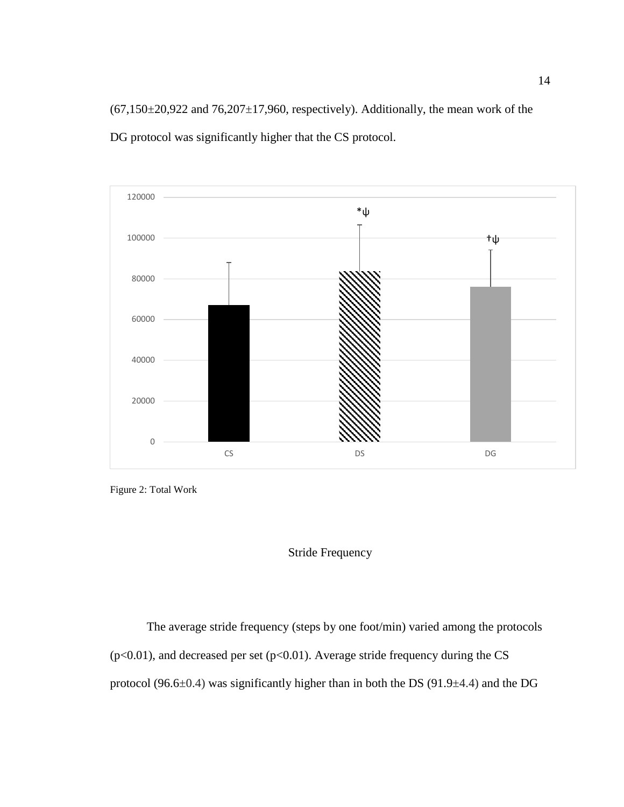$(67,150\pm20,922$  and  $76,207\pm17,960$ , respectively). Additionally, the mean work of the DG protocol was significantly higher that the CS protocol.



Figure 2: Total Work

# Stride Frequency

The average stride frequency (steps by one foot/min) varied among the protocols ( $p<0.01$ ), and decreased per set ( $p<0.01$ ). Average stride frequency during the CS protocol (96.6 $\pm$ 0.4) was significantly higher than in both the DS (91.9 $\pm$ 4.4) and the DG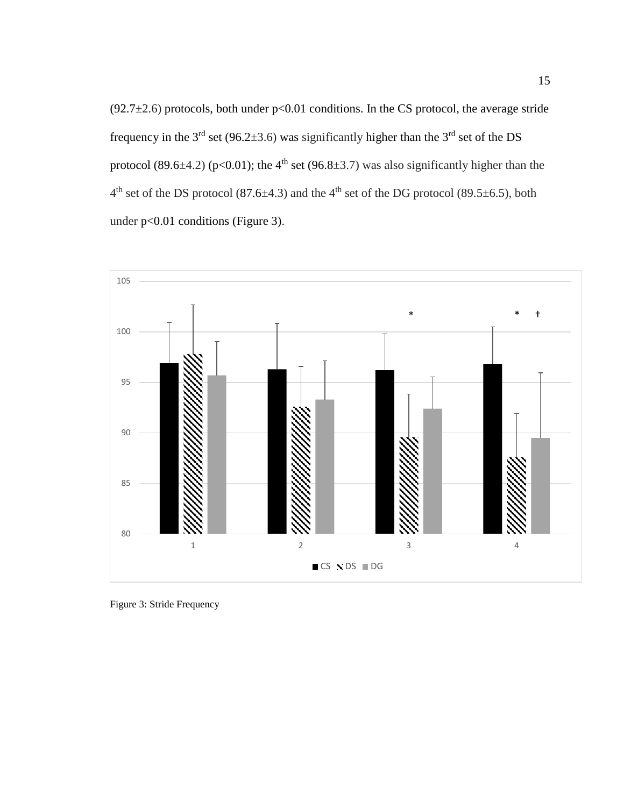$(92.7\pm2.6)$  protocols, both under p<0.01 conditions. In the CS protocol, the average stride frequency in the  $3<sup>rd</sup>$  set (96.2 $\pm$ 3.6) was significantly higher than the  $3<sup>rd</sup>$  set of the DS protocol (89.6 $\pm$ 4.2) (p<0.01); the 4<sup>th</sup> set (96.8 $\pm$ 3.7) was also significantly higher than the  $4<sup>th</sup>$  set of the DS protocol (87.6 $\pm$ 4.3) and the 4<sup>th</sup> set of the DG protocol (89.5 $\pm$ 6.5), both under p<0.01 conditions (Figure 3).



Figure 3: Stride Frequency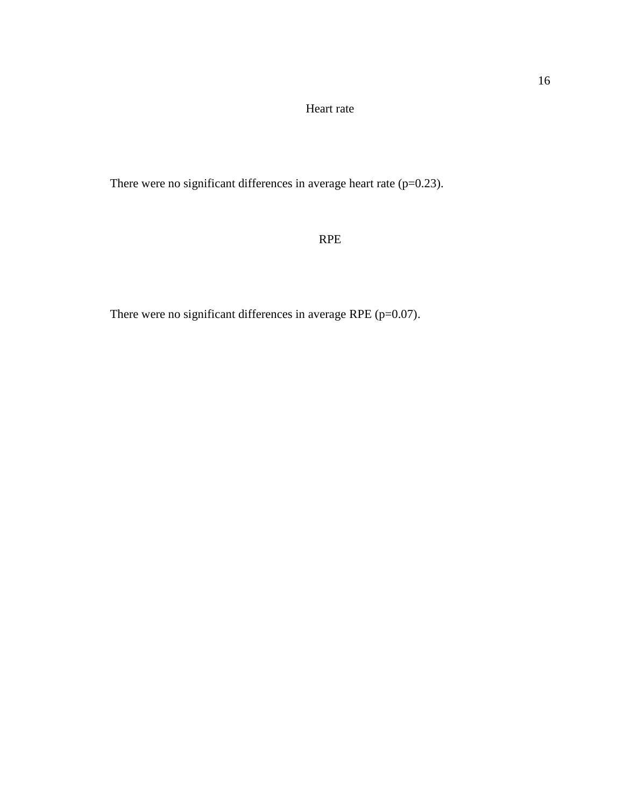Heart rate

There were no significant differences in average heart rate  $(p=0.23)$ .

# RPE

There were no significant differences in average RPE (p=0.07).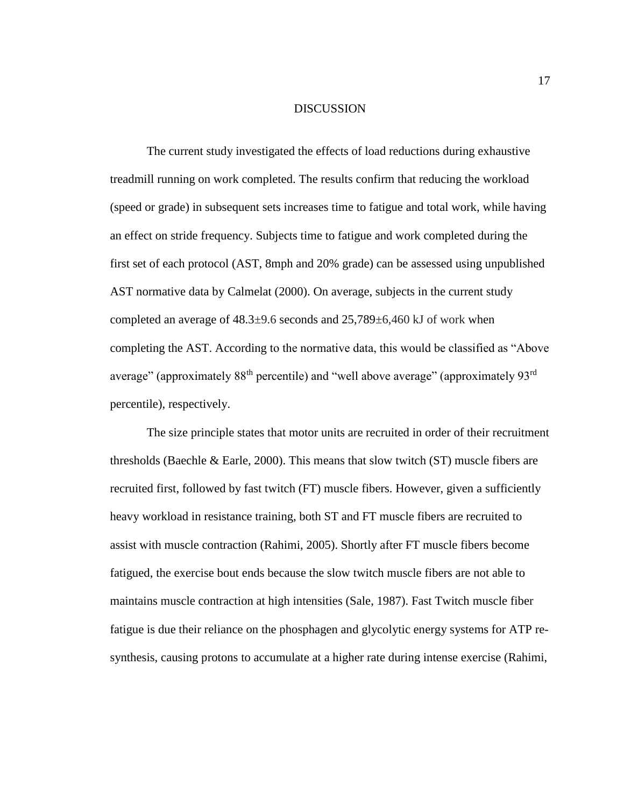### DISCUSSION

The current study investigated the effects of load reductions during exhaustive treadmill running on work completed. The results confirm that reducing the workload (speed or grade) in subsequent sets increases time to fatigue and total work, while having an effect on stride frequency. Subjects time to fatigue and work completed during the first set of each protocol (AST, 8mph and 20% grade) can be assessed using unpublished AST normative data by Calmelat (2000). On average, subjects in the current study completed an average of  $48.3\pm9.6$  seconds and  $25,789\pm6,460$  kJ of work when completing the AST. According to the normative data, this would be classified as "Above average" (approximately  $88<sup>th</sup>$  percentile) and "well above average" (approximately  $93<sup>rd</sup>$ percentile), respectively.

The size principle states that motor units are recruited in order of their recruitment thresholds (Baechle & Earle, 2000). This means that slow twitch (ST) muscle fibers are recruited first, followed by fast twitch (FT) muscle fibers. However, given a sufficiently heavy workload in resistance training, both ST and FT muscle fibers are recruited to assist with muscle contraction (Rahimi, 2005). Shortly after FT muscle fibers become fatigued, the exercise bout ends because the slow twitch muscle fibers are not able to maintains muscle contraction at high intensities (Sale, 1987). Fast Twitch muscle fiber fatigue is due their reliance on the phosphagen and glycolytic energy systems for ATP resynthesis, causing protons to accumulate at a higher rate during intense exercise (Rahimi,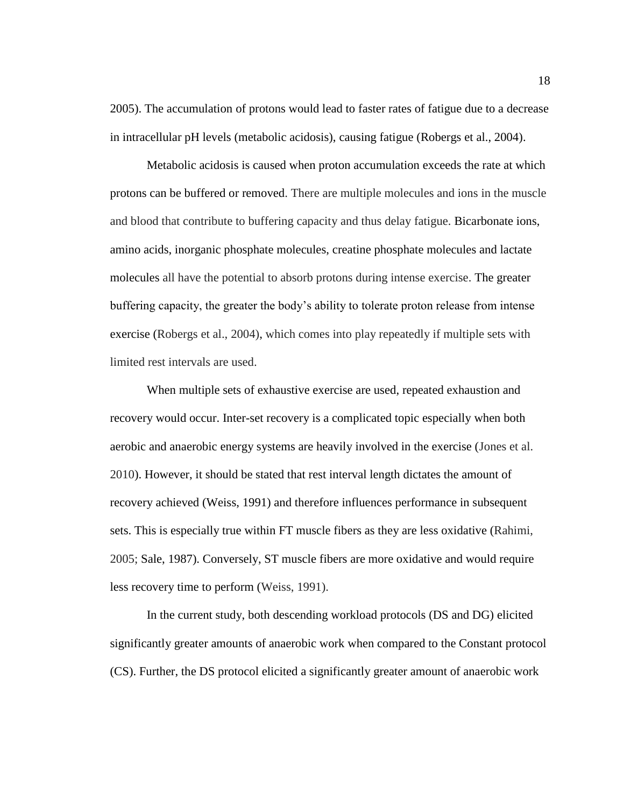2005). The accumulation of protons would lead to faster rates of fatigue due to a decrease in intracellular pH levels (metabolic acidosis), causing fatigue (Robergs et al., 2004).

Metabolic acidosis is caused when proton accumulation exceeds the rate at which protons can be buffered or removed. There are multiple molecules and ions in the muscle and blood that contribute to buffering capacity and thus delay fatigue. Bicarbonate ions, amino acids, inorganic phosphate molecules, creatine phosphate molecules and lactate molecules all have the potential to absorb protons during intense exercise. The greater buffering capacity, the greater the body's ability to tolerate proton release from intense exercise (Robergs et al., 2004), which comes into play repeatedly if multiple sets with limited rest intervals are used.

When multiple sets of exhaustive exercise are used, repeated exhaustion and recovery would occur. Inter-set recovery is a complicated topic especially when both aerobic and anaerobic energy systems are heavily involved in the exercise (Jones et al. 2010). However, it should be stated that rest interval length dictates the amount of recovery achieved (Weiss, 1991) and therefore influences performance in subsequent sets. This is especially true within FT muscle fibers as they are less oxidative (Rahimi, 2005; Sale, 1987). Conversely, ST muscle fibers are more oxidative and would require less recovery time to perform (Weiss, 1991).

In the current study, both descending workload protocols (DS and DG) elicited significantly greater amounts of anaerobic work when compared to the Constant protocol (CS). Further, the DS protocol elicited a significantly greater amount of anaerobic work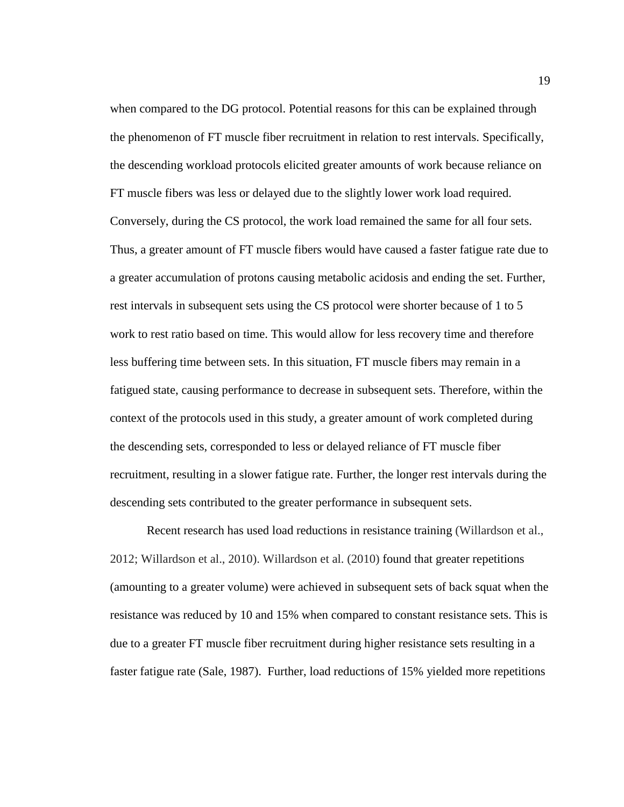when compared to the DG protocol. Potential reasons for this can be explained through the phenomenon of FT muscle fiber recruitment in relation to rest intervals. Specifically, the descending workload protocols elicited greater amounts of work because reliance on FT muscle fibers was less or delayed due to the slightly lower work load required. Conversely, during the CS protocol, the work load remained the same for all four sets. Thus, a greater amount of FT muscle fibers would have caused a faster fatigue rate due to a greater accumulation of protons causing metabolic acidosis and ending the set. Further, rest intervals in subsequent sets using the CS protocol were shorter because of 1 to 5 work to rest ratio based on time. This would allow for less recovery time and therefore less buffering time between sets. In this situation, FT muscle fibers may remain in a fatigued state, causing performance to decrease in subsequent sets. Therefore, within the context of the protocols used in this study, a greater amount of work completed during the descending sets, corresponded to less or delayed reliance of FT muscle fiber recruitment, resulting in a slower fatigue rate. Further, the longer rest intervals during the descending sets contributed to the greater performance in subsequent sets.

Recent research has used load reductions in resistance training (Willardson et al., 2012; Willardson et al., 2010). Willardson et al. (2010) found that greater repetitions (amounting to a greater volume) were achieved in subsequent sets of back squat when the resistance was reduced by 10 and 15% when compared to constant resistance sets. This is due to a greater FT muscle fiber recruitment during higher resistance sets resulting in a faster fatigue rate (Sale, 1987). Further, load reductions of 15% yielded more repetitions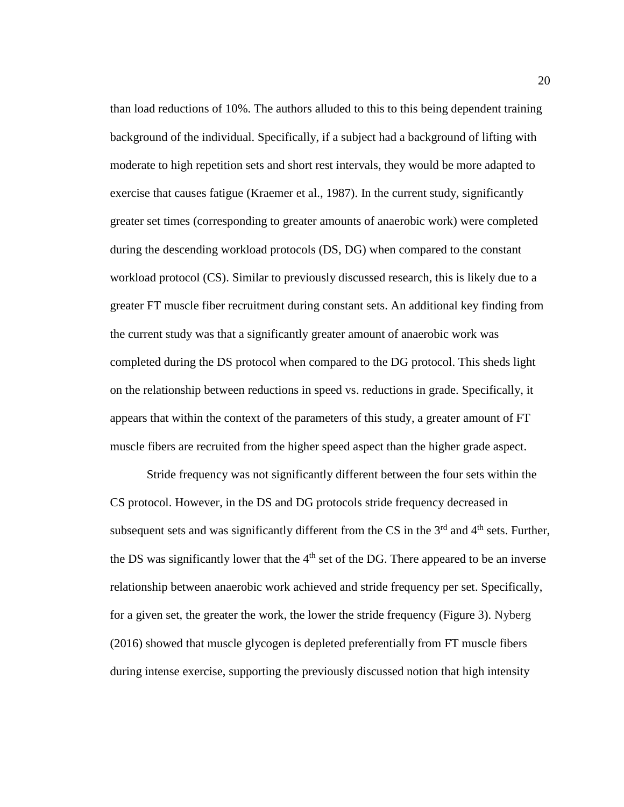than load reductions of 10%. The authors alluded to this to this being dependent training background of the individual. Specifically, if a subject had a background of lifting with moderate to high repetition sets and short rest intervals, they would be more adapted to exercise that causes fatigue (Kraemer et al., 1987). In the current study, significantly greater set times (corresponding to greater amounts of anaerobic work) were completed during the descending workload protocols (DS, DG) when compared to the constant workload protocol (CS). Similar to previously discussed research, this is likely due to a greater FT muscle fiber recruitment during constant sets. An additional key finding from the current study was that a significantly greater amount of anaerobic work was completed during the DS protocol when compared to the DG protocol. This sheds light on the relationship between reductions in speed vs. reductions in grade. Specifically, it appears that within the context of the parameters of this study, a greater amount of FT muscle fibers are recruited from the higher speed aspect than the higher grade aspect.

Stride frequency was not significantly different between the four sets within the CS protocol. However, in the DS and DG protocols stride frequency decreased in subsequent sets and was significantly different from the CS in the  $3<sup>rd</sup>$  and  $4<sup>th</sup>$  sets. Further, the DS was significantly lower that the  $4<sup>th</sup>$  set of the DG. There appeared to be an inverse relationship between anaerobic work achieved and stride frequency per set. Specifically, for a given set, the greater the work, the lower the stride frequency (Figure 3). Nyberg (2016) showed that muscle glycogen is depleted preferentially from FT muscle fibers during intense exercise, supporting the previously discussed notion that high intensity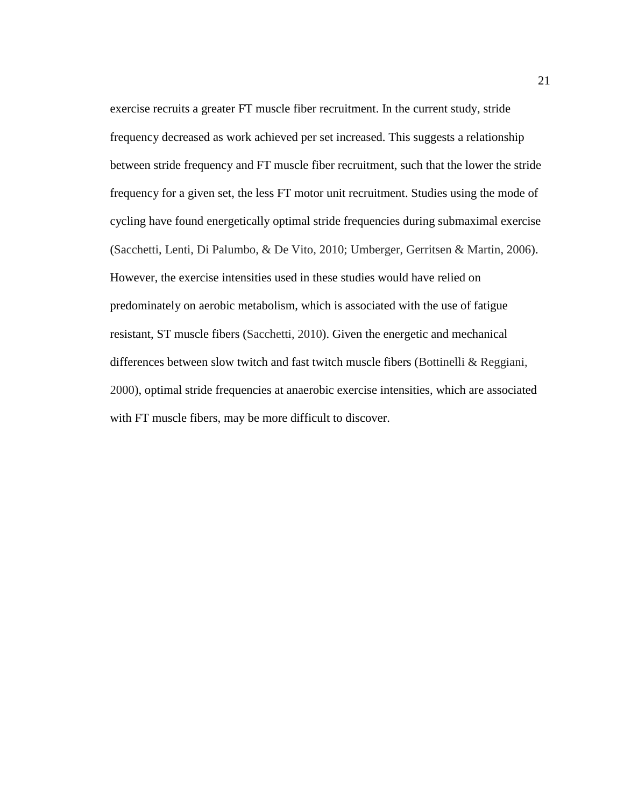exercise recruits a greater FT muscle fiber recruitment. In the current study, stride frequency decreased as work achieved per set increased. This suggests a relationship between stride frequency and FT muscle fiber recruitment, such that the lower the stride frequency for a given set, the less FT motor unit recruitment. Studies using the mode of cycling have found energetically optimal stride frequencies during submaximal exercise (Sacchetti, Lenti, Di Palumbo, & De Vito, 2010; Umberger, Gerritsen & Martin, 2006). However, the exercise intensities used in these studies would have relied on predominately on aerobic metabolism, which is associated with the use of fatigue resistant, ST muscle fibers (Sacchetti, 2010). Given the energetic and mechanical differences between slow twitch and fast twitch muscle fibers (Bottinelli & Reggiani, 2000), optimal stride frequencies at anaerobic exercise intensities, which are associated with FT muscle fibers, may be more difficult to discover.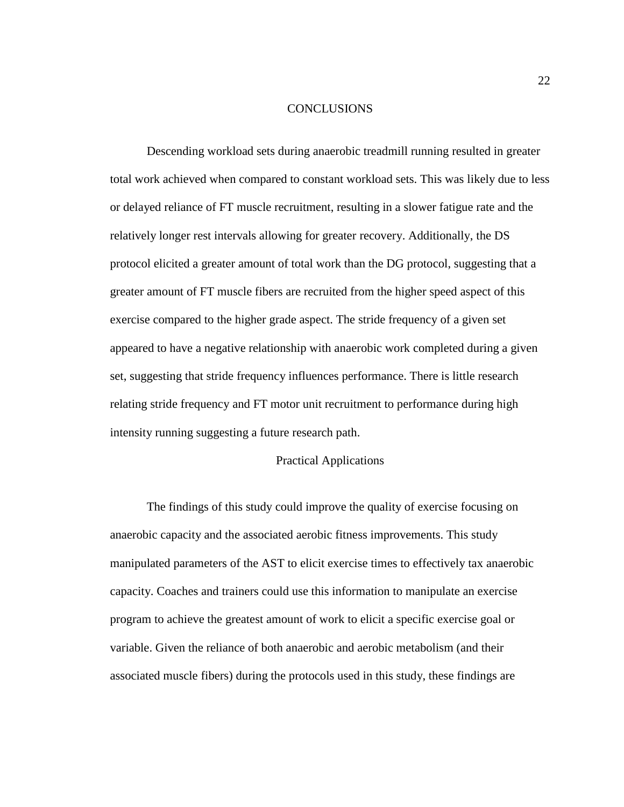### **CONCLUSIONS**

Descending workload sets during anaerobic treadmill running resulted in greater total work achieved when compared to constant workload sets. This was likely due to less or delayed reliance of FT muscle recruitment, resulting in a slower fatigue rate and the relatively longer rest intervals allowing for greater recovery. Additionally, the DS protocol elicited a greater amount of total work than the DG protocol, suggesting that a greater amount of FT muscle fibers are recruited from the higher speed aspect of this exercise compared to the higher grade aspect. The stride frequency of a given set appeared to have a negative relationship with anaerobic work completed during a given set, suggesting that stride frequency influences performance. There is little research relating stride frequency and FT motor unit recruitment to performance during high intensity running suggesting a future research path.

# Practical Applications

The findings of this study could improve the quality of exercise focusing on anaerobic capacity and the associated aerobic fitness improvements. This study manipulated parameters of the AST to elicit exercise times to effectively tax anaerobic capacity. Coaches and trainers could use this information to manipulate an exercise program to achieve the greatest amount of work to elicit a specific exercise goal or variable. Given the reliance of both anaerobic and aerobic metabolism (and their associated muscle fibers) during the protocols used in this study, these findings are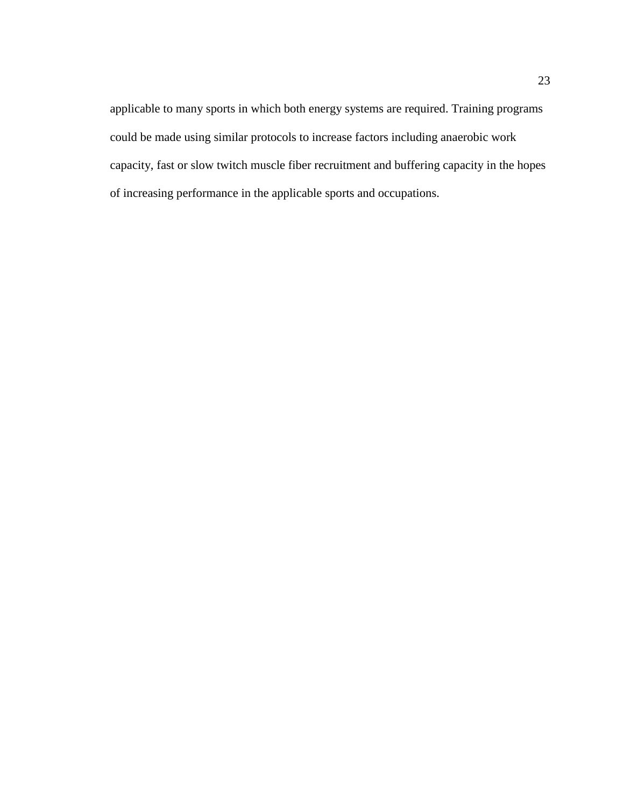applicable to many sports in which both energy systems are required. Training programs could be made using similar protocols to increase factors including anaerobic work capacity, fast or slow twitch muscle fiber recruitment and buffering capacity in the hopes of increasing performance in the applicable sports and occupations.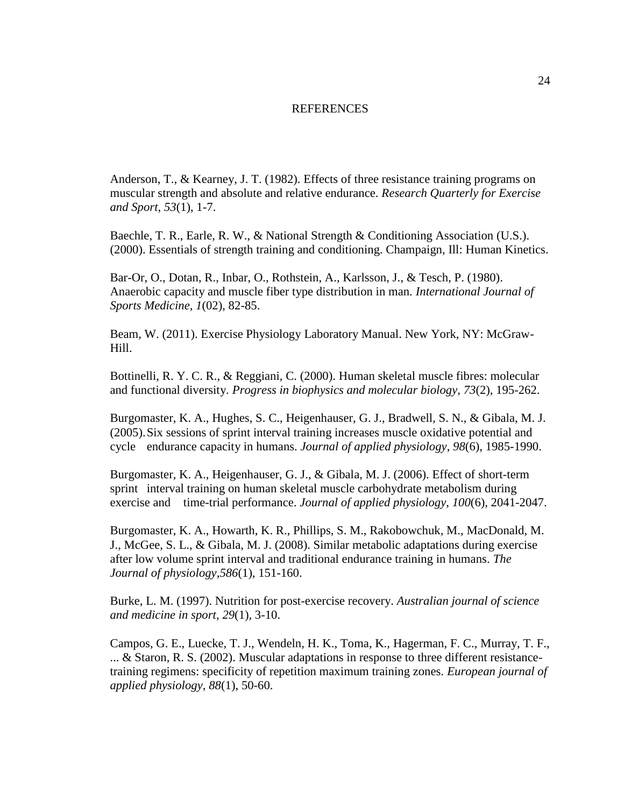### REFERENCES

Anderson, T., & Kearney, J. T. (1982). Effects of three resistance training programs on muscular strength and absolute and relative endurance. *Research Quarterly for Exercise and Sport*, *53*(1), 1-7.

Baechle, T. R., Earle, R. W., & National Strength & Conditioning Association (U.S.). (2000). Essentials of strength training and conditioning. Champaign, Ill: Human Kinetics.

Bar-Or, O., Dotan, R., Inbar, O., Rothstein, A., Karlsson, J., & Tesch, P. (1980). Anaerobic capacity and muscle fiber type distribution in man. *International Journal of Sports Medicine*, *1*(02), 82-85.

Beam, W. (2011). Exercise Physiology Laboratory Manual. New York, NY: McGraw-Hill.

Bottinelli, R. Y. C. R., & Reggiani, C. (2000). Human skeletal muscle fibres: molecular and functional diversity. *Progress in biophysics and molecular biology*, *73*(2), 195-262.

Burgomaster, K. A., Hughes, S. C., Heigenhauser, G. J., Bradwell, S. N., & Gibala, M. J. (2005).Six sessions of sprint interval training increases muscle oxidative potential and cycle endurance capacity in humans. *Journal of applied physiology*, *98*(6), 1985-1990.

Burgomaster, K. A., Heigenhauser, G. J., & Gibala, M. J. (2006). Effect of short-term sprint interval training on human skeletal muscle carbohydrate metabolism during exercise and time-trial performance. *Journal of applied physiology*, *100*(6), 2041-2047.

Burgomaster, K. A., Howarth, K. R., Phillips, S. M., Rakobowchuk, M., MacDonald, M. J., McGee, S. L., & Gibala, M. J. (2008). Similar metabolic adaptations during exercise after low volume sprint interval and traditional endurance training in humans. *The Journal of physiology*,*586*(1), 151-160.

Burke, L. M. (1997). Nutrition for post-exercise recovery. *Australian journal of science and medicine in sport*, *29*(1), 3-10.

Campos, G. E., Luecke, T. J., Wendeln, H. K., Toma, K., Hagerman, F. C., Murray, T. F., ... & Staron, R. S. (2002). Muscular adaptations in response to three different resistancetraining regimens: specificity of repetition maximum training zones. *European journal of applied physiology*, *88*(1), 50-60.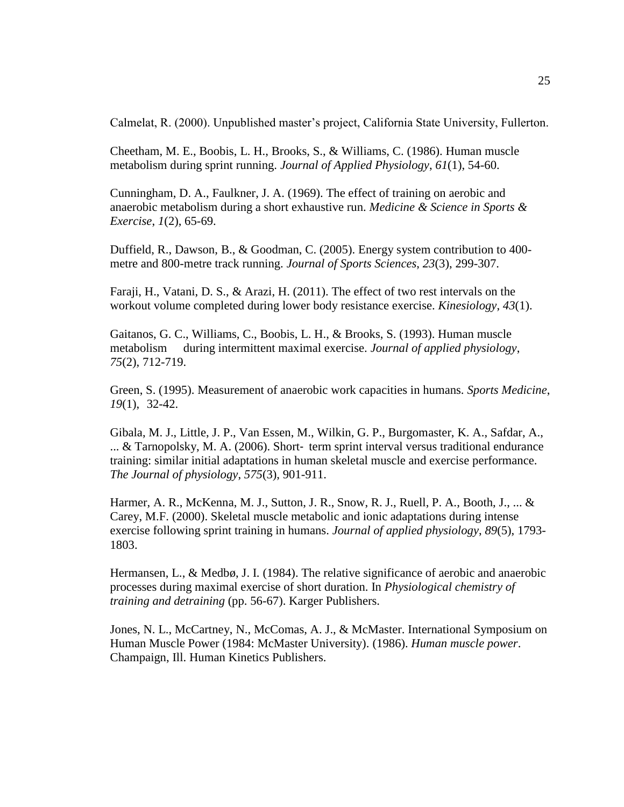Calmelat, R. (2000). Unpublished master's project, California State University, Fullerton.

Cheetham, M. E., Boobis, L. H., Brooks, S., & Williams, C. (1986). Human muscle metabolism during sprint running. *Journal of Applied Physiology*, *61*(1), 54-60.

Cunningham, D. A., Faulkner, J. A. (1969). The effect of training on aerobic and anaerobic metabolism during a short exhaustive run. *Medicine & Science in Sports & Exercise*, *1*(2), 65-69.

Duffield, R., Dawson, B., & Goodman, C. (2005). Energy system contribution to 400 metre and 800-metre track running. *Journal of Sports Sciences*, *23*(3), 299-307.

Faraji, H., Vatani, D. S., & Arazi, H. (2011). The effect of two rest intervals on the workout volume completed during lower body resistance exercise. *Kinesiology*, *43*(1).

Gaitanos, G. C., Williams, C., Boobis, L. H., & Brooks, S. (1993). Human muscle metabolism during intermittent maximal exercise. *Journal of applied physiology*, *75*(2), 712-719.

Green, S. (1995). Measurement of anaerobic work capacities in humans. *Sports Medicine*, *19*(1), 32-42.

Gibala, M. J., Little, J. P., Van Essen, M., Wilkin, G. P., Burgomaster, K. A., Safdar, A., ... & Tarnopolsky, M. A. (2006). Short‐ term sprint interval versus traditional endurance training: similar initial adaptations in human skeletal muscle and exercise performance. *The Journal of physiology*, *575*(3), 901-911.

Harmer, A. R., McKenna, M. J., Sutton, J. R., Snow, R. J., Ruell, P. A., Booth, J., ... & Carey, M.F. (2000). Skeletal muscle metabolic and ionic adaptations during intense exercise following sprint training in humans. *Journal of applied physiology*, *89*(5), 1793- 1803.

Hermansen, L., & Medbø, J. I. (1984). The relative significance of aerobic and anaerobic processes during maximal exercise of short duration. In *Physiological chemistry of training and detraining* (pp. 56-67). Karger Publishers.

Jones, N. L., McCartney, N., McComas, A. J., & McMaster. International Symposium on Human Muscle Power (1984: McMaster University). (1986). *Human muscle power*. Champaign, Ill. Human Kinetics Publishers.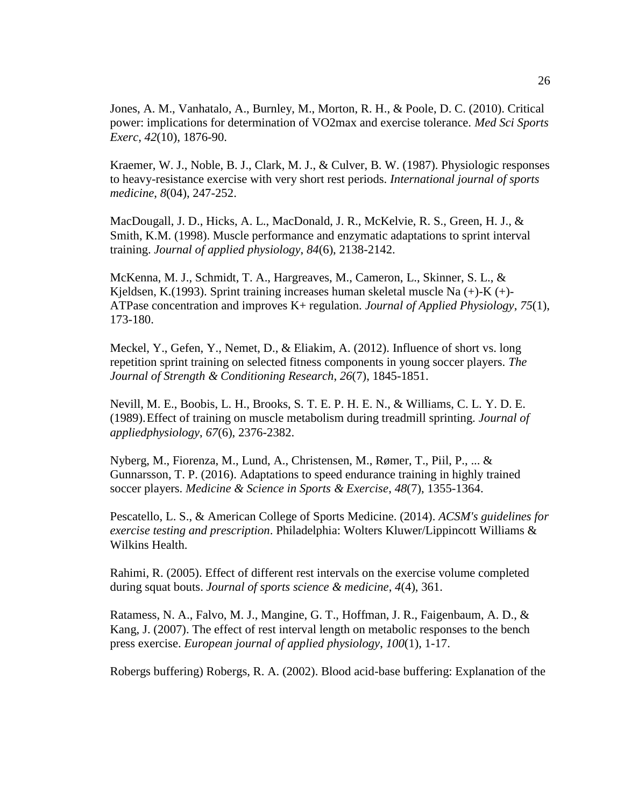Jones, A. M., Vanhatalo, A., Burnley, M., Morton, R. H., & Poole, D. C. (2010). Critical power: implications for determination of VO2max and exercise tolerance. *Med Sci Sports Exerc*, *42*(10), 1876-90.

Kraemer, W. J., Noble, B. J., Clark, M. J., & Culver, B. W. (1987). Physiologic responses to heavy-resistance exercise with very short rest periods. *International journal of sports medicine*, *8*(04), 247-252.

MacDougall, J. D., Hicks, A. L., MacDonald, J. R., McKelvie, R. S., Green, H. J., & Smith, K.M. (1998). Muscle performance and enzymatic adaptations to sprint interval training. *Journal of applied physiology*, *84*(6), 2138-2142.

McKenna, M. J., Schmidt, T. A., Hargreaves, M., Cameron, L., Skinner, S. L., & Kjeldsen, K.(1993). Sprint training increases human skeletal muscle Na  $(+)$ -K $(+)$ -ATPase concentration and improves K+ regulation. *Journal of Applied Physiology*, *75*(1), 173-180.

Meckel, Y., Gefen, Y., Nemet, D., & Eliakim, A. (2012). Influence of short vs. long repetition sprint training on selected fitness components in young soccer players. *The Journal of Strength & Conditioning Research*, *26*(7), 1845-1851.

Nevill, M. E., Boobis, L. H., Brooks, S. T. E. P. H. E. N., & Williams, C. L. Y. D. E. (1989).Effect of training on muscle metabolism during treadmill sprinting. *Journal of appliedphysiology*, *67*(6), 2376-2382.

Nyberg, M., Fiorenza, M., Lund, A., Christensen, M., Rømer, T., Piil, P., ... & Gunnarsson, T. P. (2016). Adaptations to speed endurance training in highly trained soccer players. *Medicine & Science in Sports & Exercise*, *48*(7), 1355-1364.

Pescatello, L. S., & American College of Sports Medicine. (2014). *ACSM's guidelines for exercise testing and prescription*. Philadelphia: Wolters Kluwer/Lippincott Williams & Wilkins Health.

Rahimi, R. (2005). Effect of different rest intervals on the exercise volume completed during squat bouts. *Journal of sports science & medicine*, *4*(4), 361.

Ratamess, N. A., Falvo, M. J., Mangine, G. T., Hoffman, J. R., Faigenbaum, A. D., & Kang, J. (2007). The effect of rest interval length on metabolic responses to the bench press exercise. *European journal of applied physiology*, *100*(1), 1-17.

Robergs buffering) Robergs, R. A. (2002). Blood acid-base buffering: Explanation of the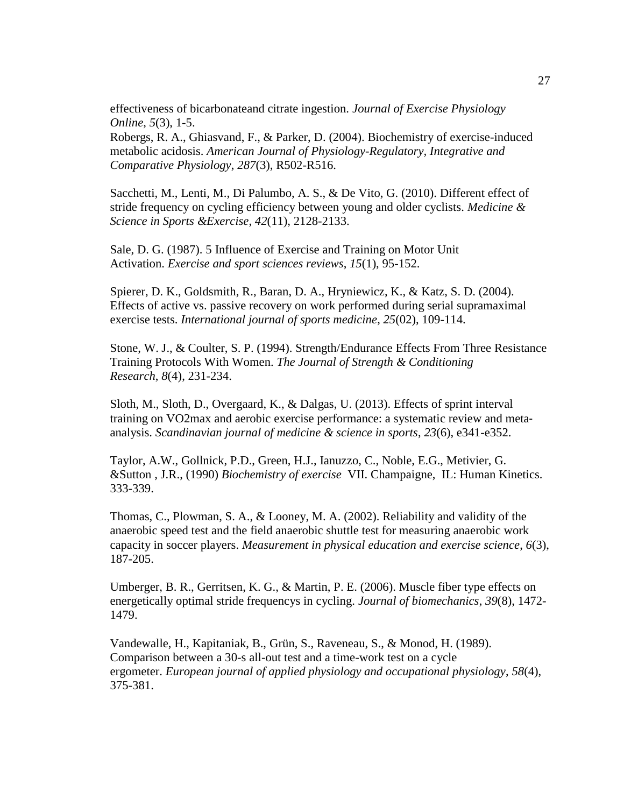effectiveness of bicarbonateand citrate ingestion. *Journal of Exercise Physiology Online*, *5*(3), 1-5.

Robergs, R. A., Ghiasvand, F., & Parker, D. (2004). Biochemistry of exercise-induced metabolic acidosis. *American Journal of Physiology-Regulatory, Integrative and Comparative Physiology*, *287*(3), R502-R516.

Sacchetti, M., Lenti, M., Di Palumbo, A. S., & De Vito, G. (2010). Different effect of stride frequency on cycling efficiency between young and older cyclists. *Medicine & Science in Sports &Exercise*, *42*(11), 2128-2133.

Sale, D. G. (1987). 5 Influence of Exercise and Training on Motor Unit Activation. *Exercise and sport sciences reviews*, *15*(1), 95-152.

Spierer, D. K., Goldsmith, R., Baran, D. A., Hryniewicz, K., & Katz, S. D. (2004). Effects of active vs. passive recovery on work performed during serial supramaximal exercise tests. *International journal of sports medicine*, *25*(02), 109-114.

Stone, W. J., & Coulter, S. P. (1994). Strength/Endurance Effects From Three Resistance Training Protocols With Women. *The Journal of Strength & Conditioning Research*, *8*(4), 231-234.

Sloth, M., Sloth, D., Overgaard, K., & Dalgas, U. (2013). Effects of sprint interval training on VO2max and aerobic exercise performance: a systematic review and meta‐ analysis. *Scandinavian journal of medicine & science in sports*, *23*(6), e341-e352.

Taylor, A.W., Gollnick, P.D., Green, H.J., Ianuzzo, C., Noble, E.G., Metivier, G. &Sutton , J.R., (1990) *Biochemistry of exercise* VII. Champaigne, IL: Human Kinetics. 333-339.

Thomas, C., Plowman, S. A., & Looney, M. A. (2002). Reliability and validity of the anaerobic speed test and the field anaerobic shuttle test for measuring anaerobic work capacity in soccer players. *Measurement in physical education and exercise science*, *6*(3), 187-205.

Umberger, B. R., Gerritsen, K. G., & Martin, P. E. (2006). Muscle fiber type effects on energetically optimal stride frequencys in cycling. *Journal of biomechanics*, *39*(8), 1472- 1479.

Vandewalle, H., Kapitaniak, B., Grün, S., Raveneau, S., & Monod, H. (1989). Comparison between a 30-s all-out test and a time-work test on a cycle ergometer. *European journal of applied physiology and occupational physiology*, *58*(4), 375-381.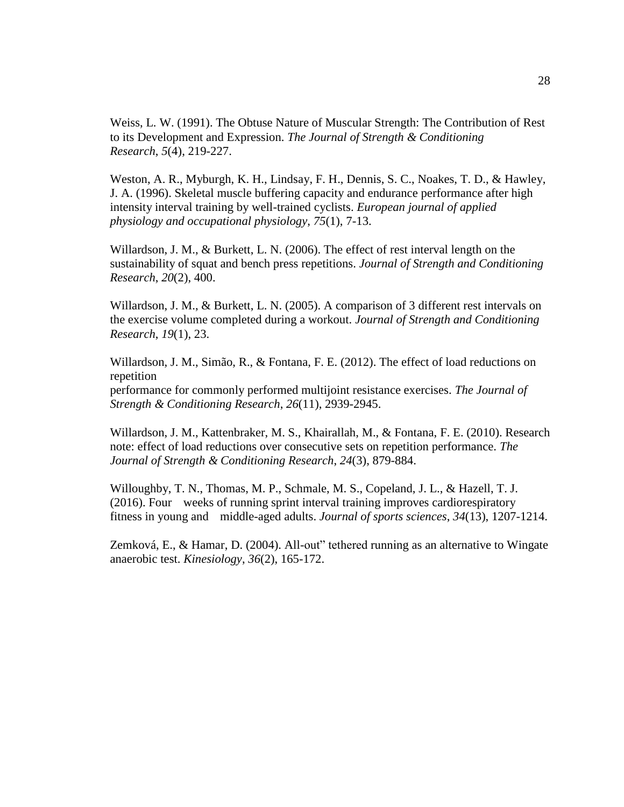Weiss, L. W. (1991). The Obtuse Nature of Muscular Strength: The Contribution of Rest to its Development and Expression. *The Journal of Strength & Conditioning Research*, *5*(4), 219-227.

Weston, A. R., Myburgh, K. H., Lindsay, F. H., Dennis, S. C., Noakes, T. D., & Hawley, J. A. (1996). Skeletal muscle buffering capacity and endurance performance after high intensity interval training by well-trained cyclists. *European journal of applied physiology and occupational physiology*, *75*(1), 7-13.

Willardson, J. M., & Burkett, L. N. (2006). The effect of rest interval length on the sustainability of squat and bench press repetitions. *Journal of Strength and Conditioning Research*, *20*(2), 400.

Willardson, J. M., & Burkett, L. N. (2005). A comparison of 3 different rest intervals on the exercise volume completed during a workout. *Journal of Strength and Conditioning Research*, *19*(1), 23.

Willardson, J. M., Simão, R., & Fontana, F. E. (2012). The effect of load reductions on repetition

performance for commonly performed multijoint resistance exercises. *The Journal of Strength & Conditioning Research*, *26*(11), 2939-2945.

Willardson, J. M., Kattenbraker, M. S., Khairallah, M., & Fontana, F. E. (2010). Research note: effect of load reductions over consecutive sets on repetition performance. *The Journal of Strength & Conditioning Research*, *24*(3), 879-884.

Willoughby, T. N., Thomas, M. P., Schmale, M. S., Copeland, J. L., & Hazell, T. J. (2016). Four weeks of running sprint interval training improves cardiorespiratory fitness in young and middle-aged adults. *Journal of sports sciences*, *34*(13), 1207-1214.

Zemková, E., & Hamar, D. (2004). All-out" tethered running as an alternative to Wingate anaerobic test. *Kinesiology*, *36*(2), 165-172.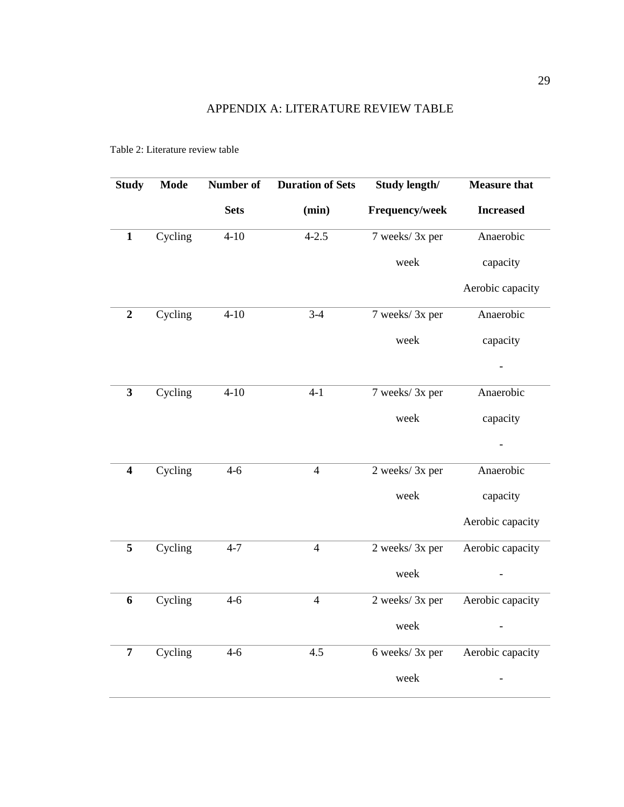| <b>Study</b>            | <b>Mode</b> | Number of   | <b>Duration of Sets</b> | Study length/   | <b>Measure that</b> |
|-------------------------|-------------|-------------|-------------------------|-----------------|---------------------|
|                         |             | <b>Sets</b> | (min)                   | Frequency/week  | <b>Increased</b>    |
| $\mathbf{1}$            | Cycling     | $4 - 10$    | $4 - 2.5$               | 7 weeks/ 3x per | Anaerobic           |
|                         |             |             |                         | week            | capacity            |
|                         |             |             |                         |                 | Aerobic capacity    |
| $\boldsymbol{2}$        | Cycling     | $4 - 10$    | $3-4$                   | 7 weeks/3x per  | Anaerobic           |
|                         |             |             |                         | week            | capacity            |
|                         |             |             |                         |                 |                     |
| $\overline{\mathbf{3}}$ | Cycling     | $4 - 10$    | $4-1$                   | 7 weeks/3x per  | Anaerobic           |
|                         |             |             |                         | week            | capacity            |
|                         |             |             |                         |                 |                     |
| $\overline{\mathbf{4}}$ | Cycling     | $4 - 6$     | $\overline{4}$          | 2 weeks/3x per  | Anaerobic           |
|                         |             |             |                         | week            | capacity            |
|                         |             |             |                         |                 | Aerobic capacity    |
| $\overline{5}$          | Cycling     | $4 - 7$     | $\overline{4}$          | 2 weeks/3x per  | Aerobic capacity    |
|                         |             |             |                         | week            |                     |
| 6                       | Cycling     | $4-6$       | $\overline{4}$          | 2 weeks/3x per  | Aerobic capacity    |
|                         |             |             |                         | week            |                     |
| $\overline{7}$          | Cycling     | $4 - 6$     | 4.5                     | 6 weeks/ 3x per | Aerobic capacity    |
|                         |             |             |                         | week            |                     |
|                         |             |             |                         |                 |                     |

Table 2: Literature review table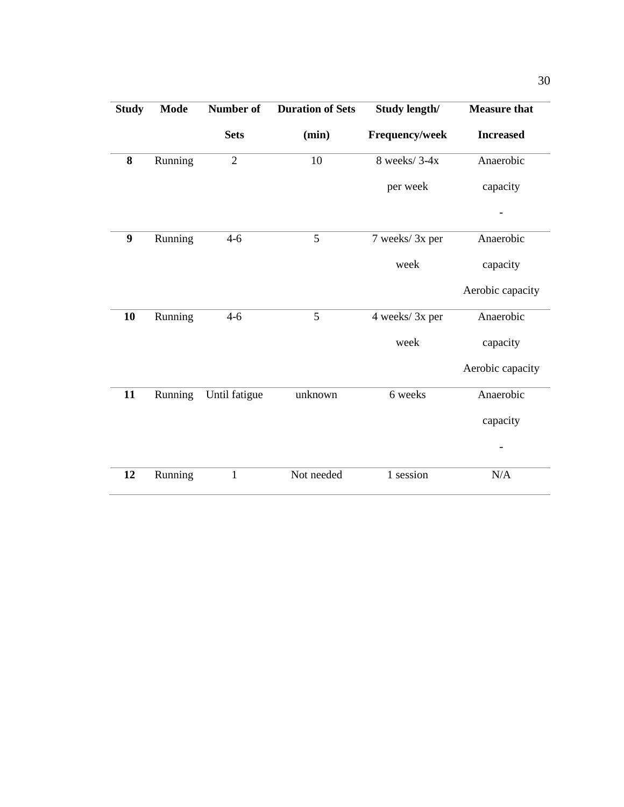| <b>Study</b> | <b>Mode</b> | Number of      | <b>Duration of Sets</b> | <b>Study length/</b> | <b>Measure that</b> |
|--------------|-------------|----------------|-------------------------|----------------------|---------------------|
|              |             | <b>Sets</b>    | (min)                   | Frequency/week       | <b>Increased</b>    |
| 8            | Running     | $\overline{2}$ | 10                      | 8 weeks/3-4x         | Anaerobic           |
|              |             |                |                         | per week             | capacity            |
|              |             |                |                         |                      |                     |
| 9            | Running     | $4 - 6$        | 5                       | 7 weeks/ 3x per      | Anaerobic           |
|              |             |                |                         | week                 | capacity            |
|              |             |                |                         |                      | Aerobic capacity    |
| 10           | Running     | $4 - 6$        | 5                       | 4 weeks/3x per       | Anaerobic           |
|              |             |                |                         | week                 | capacity            |
|              |             |                |                         |                      | Aerobic capacity    |
| 11           | Running     | Until fatigue  | unknown                 | 6 weeks              | Anaerobic           |
|              |             |                |                         |                      | capacity            |
|              |             |                |                         |                      |                     |
| 12           | Running     | $\mathbf{1}$   | Not needed              | 1 session            | N/A                 |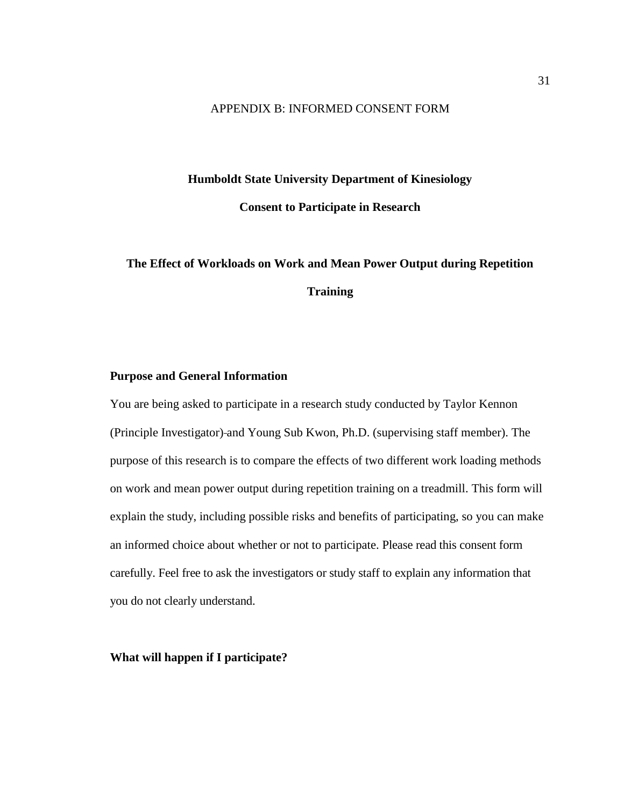# APPENDIX B: INFORMED CONSENT FORM

# **Humboldt State University Department of Kinesiology**

**Consent to Participate in Research**

# **The Effect of Workloads on Work and Mean Power Output during Repetition Training**

# **Purpose and General Information**

You are being asked to participate in a research study conducted by Taylor Kennon (Principle Investigator) and Young Sub Kwon, Ph.D. (supervising staff member). The purpose of this research is to compare the effects of two different work loading methods on work and mean power output during repetition training on a treadmill. This form will explain the study, including possible risks and benefits of participating, so you can make an informed choice about whether or not to participate. Please read this consent form carefully. Feel free to ask the investigators or study staff to explain any information that you do not clearly understand.

**What will happen if I participate?**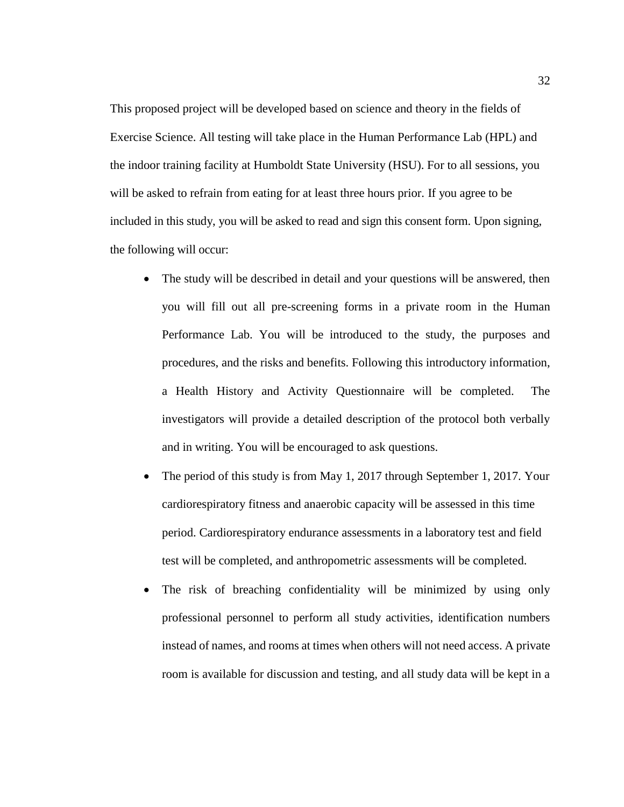This proposed project will be developed based on science and theory in the fields of Exercise Science. All testing will take place in the Human Performance Lab (HPL) and the indoor training facility at Humboldt State University (HSU). For to all sessions, you will be asked to refrain from eating for at least three hours prior. If you agree to be included in this study, you will be asked to read and sign this consent form. Upon signing, the following will occur:

- The study will be described in detail and your questions will be answered, then you will fill out all pre-screening forms in a private room in the Human Performance Lab. You will be introduced to the study, the purposes and procedures, and the risks and benefits. Following this introductory information, a Health History and Activity Questionnaire will be completed. The investigators will provide a detailed description of the protocol both verbally and in writing. You will be encouraged to ask questions.
- The period of this study is from May 1, 2017 through September 1, 2017. Your cardiorespiratory fitness and anaerobic capacity will be assessed in this time period. Cardiorespiratory endurance assessments in a laboratory test and field test will be completed, and anthropometric assessments will be completed.
- The risk of breaching confidentiality will be minimized by using only professional personnel to perform all study activities, identification numbers instead of names, and rooms at times when others will not need access. A private room is available for discussion and testing, and all study data will be kept in a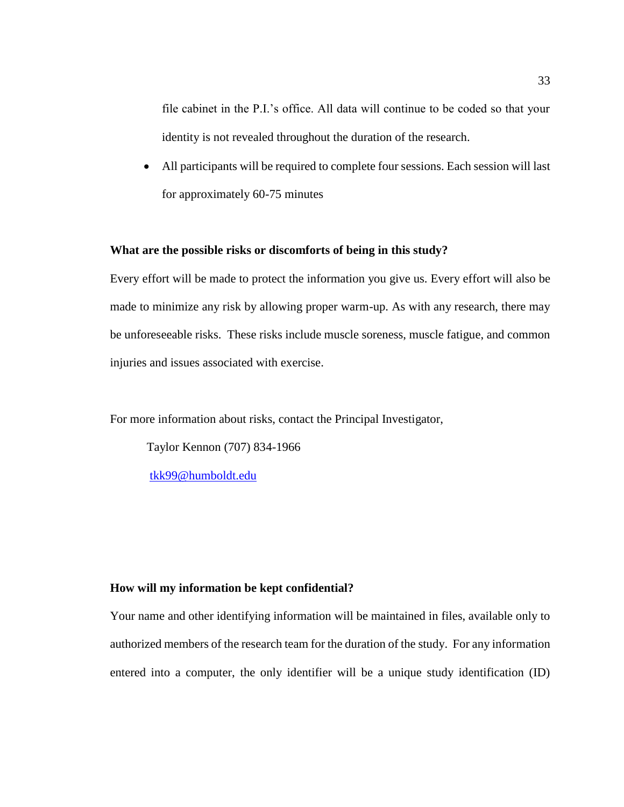file cabinet in the P.I.'s office. All data will continue to be coded so that your identity is not revealed throughout the duration of the research.

• All participants will be required to complete four sessions. Each session will last for approximately 60-75 minutes

## **What are the possible risks or discomforts of being in this study?**

Every effort will be made to protect the information you give us. Every effort will also be made to minimize any risk by allowing proper warm-up. As with any research, there may be unforeseeable risks. These risks include muscle soreness, muscle fatigue, and common injuries and issues associated with exercise.

For more information about risks, contact the Principal Investigator,

Taylor Kennon (707) 834-1966

[tkk99@humboldt.edu](mailto:tkk99@humboldt.edu)

## **How will my information be kept confidential?**

Your name and other identifying information will be maintained in files, available only to authorized members of the research team for the duration of the study. For any information entered into a computer, the only identifier will be a unique study identification (ID)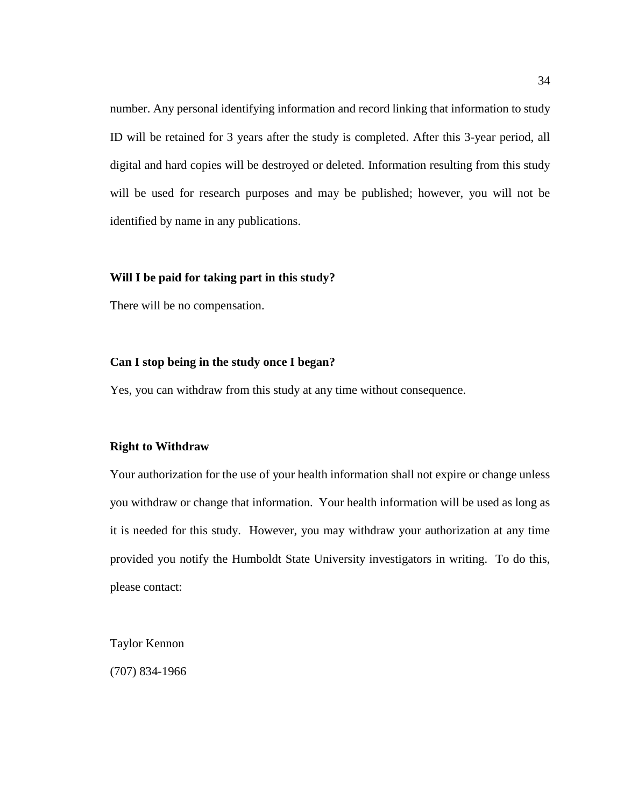number. Any personal identifying information and record linking that information to study ID will be retained for 3 years after the study is completed. After this 3-year period, all digital and hard copies will be destroyed or deleted. Information resulting from this study will be used for research purposes and may be published; however, you will not be identified by name in any publications.

# **Will I be paid for taking part in this study?**

There will be no compensation.

### **Can I stop being in the study once I began?**

Yes, you can withdraw from this study at any time without consequence.

## **Right to Withdraw**

Your authorization for the use of your health information shall not expire or change unless you withdraw or change that information. Your health information will be used as long as it is needed for this study. However, you may withdraw your authorization at any time provided you notify the Humboldt State University investigators in writing. To do this, please contact:

Taylor Kennon

(707) 834-1966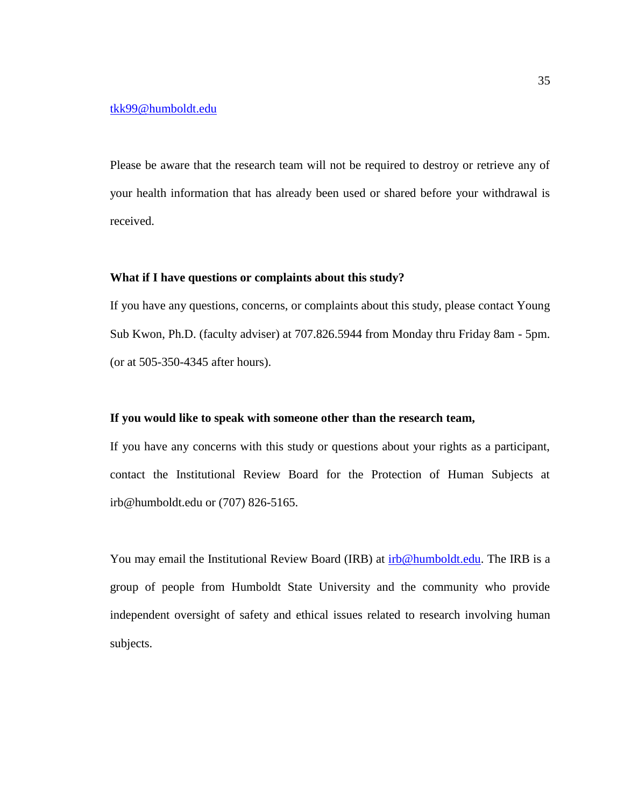# [tkk99@humboldt.edu](mailto:tkk99@humboldt.edu)

Please be aware that the research team will not be required to destroy or retrieve any of your health information that has already been used or shared before your withdrawal is received.

#### **What if I have questions or complaints about this study?**

If you have any questions, concerns, or complaints about this study, please contact Young Sub Kwon, Ph.D. (faculty adviser) at 707.826.5944 from Monday thru Friday 8am - 5pm. (or at 505-350-4345 after hours).

### **If you would like to speak with someone other than the research team,**

If you have any concerns with this study or questions about your rights as a participant, contact the Institutional Review Board for the Protection of Human Subjects at irb@humboldt.edu or (707) 826-5165.

You may email the Institutional Review Board (IRB) at  $irb@humboldt.edu$ . The IRB is a group of people from Humboldt State University and the community who provide independent oversight of safety and ethical issues related to research involving human subjects.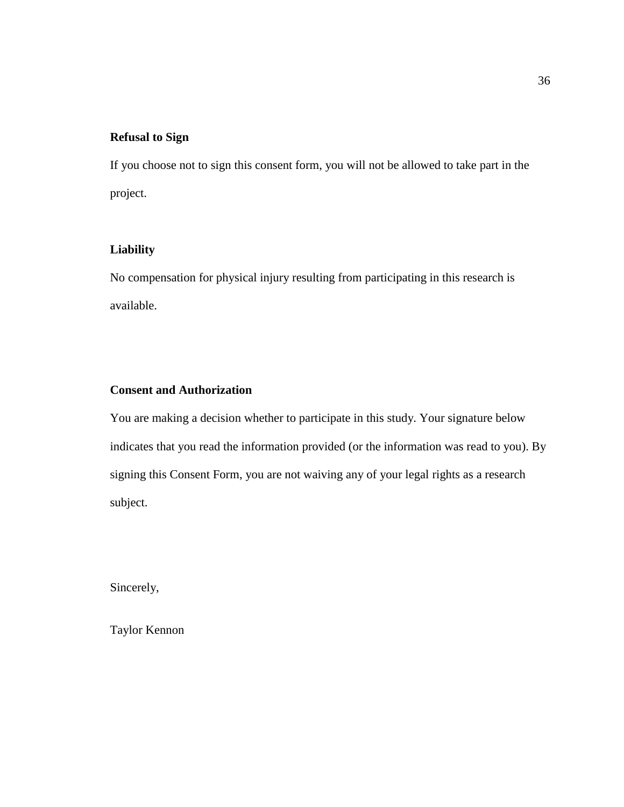# **Refusal to Sign**

If you choose not to sign this consent form, you will not be allowed to take part in the project.

# **Liability**

No compensation for physical injury resulting from participating in this research is available.

# **Consent and Authorization**

You are making a decision whether to participate in this study. Your signature below indicates that you read the information provided (or the information was read to you). By signing this Consent Form, you are not waiving any of your legal rights as a research subject.

Sincerely,

Taylor Kennon